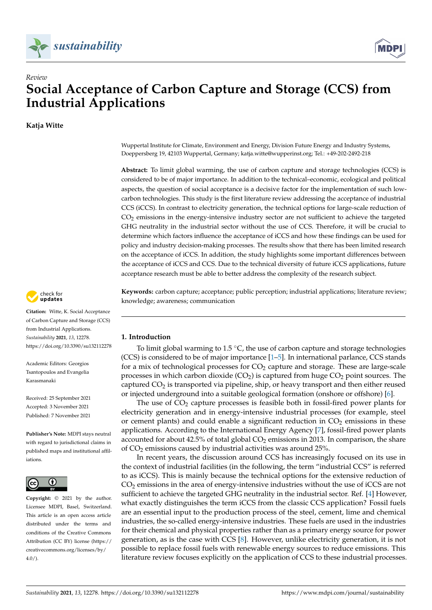



# *Review* **Social Acceptance of Carbon Capture and Storage (CCS) from Industrial Applications**

**Katja Witte**



**Citation:** Witte, K. Social Acceptance of Carbon Capture and Storage (CCS) from Industrial Applications. *Sustainability* **2021**, *13*, 12278. <https://doi.org/10.3390/su132112278>

Academic Editors: Georgios Tsantopoulos and Evangelia Karasmanaki

Received: 25 September 2021 Accepted: 3 November 2021 Published: 7 November 2021

**Publisher's Note:** MDPI stays neutral with regard to jurisdictional claims in published maps and institutional affiliations.



**Copyright:** © 2021 by the author. Licensee MDPI, Basel, Switzerland. This article is an open access article distributed under the terms and conditions of the Creative Commons Attribution (CC BY) license (https:/[/](https://creativecommons.org/licenses/by/4.0/) [creativecommons.org/licenses/by/](https://creativecommons.org/licenses/by/4.0/) 4.0/).

Wuppertal Institute for Climate, Environment and Energy, Division Future Energy and Industry Systems, Doeppersberg 19, 42103 Wuppertal, Germany; katja.witte@wupperinst.org; Tel.: +49-202-2492-218

**Abstract:** To limit global warming, the use of carbon capture and storage technologies (CCS) is considered to be of major importance. In addition to the technical–economic, ecological and political aspects, the question of social acceptance is a decisive factor for the implementation of such lowcarbon technologies. This study is the first literature review addressing the acceptance of industrial CCS (iCCS). In contrast to electricity generation, the technical options for large-scale reduction of  $CO<sub>2</sub>$  emissions in the energy-intensive industry sector are not sufficient to achieve the targeted GHG neutrality in the industrial sector without the use of CCS. Therefore, it will be crucial to determine which factors influence the acceptance of iCCS and how these findings can be used for policy and industry decision-making processes. The results show that there has been limited research on the acceptance of iCCS. In addition, the study highlights some important differences between the acceptance of iCCS and CCS. Due to the technical diversity of future iCCS applications, future acceptance research must be able to better address the complexity of the research subject.

**Keywords:** carbon capture; acceptance; public perception; industrial applications; literature review; knowledge; awareness; communication

# <span id="page-0-0"></span>**1. Introduction**

To limit global warming to  $1.5 \degree C$ , the use of carbon capture and storage technologies (CCS) is considered to be of major importance [\[1](#page-25-0)[–5\]](#page-25-1). In international parlance, CCS stands for a mix of technological processes for  $CO<sub>2</sub>$  capture and storage. These are large-scale processes in which carbon dioxide  $(CO<sub>2</sub>)$  is captured from huge  $CO<sub>2</sub>$  point sources. The captured  $CO<sub>2</sub>$  is transported via pipeline, ship, or heavy transport and then either reused or injected underground into a suitable geological formation (onshore or offshore) [\[6\]](#page-25-2).

The use of  $CO<sub>2</sub>$  capture processes is feasible both in fossil-fired power plants for electricity generation and in energy-intensive industrial processes (for example, steel or cement plants) and could enable a significant reduction in  $CO<sub>2</sub>$  emissions in these applications. According to the International Energy Agency [\[7\]](#page-25-3), fossil-fired power plants accounted for about  $42.5\%$  of total global  $CO<sub>2</sub>$  emissions in 2013. In comparison, the share of  $CO<sub>2</sub>$  emissions caused by industrial activities was around 25%.

In recent years, the discussion around CCS has increasingly focused on its use in the context of industrial facilities (in the following, the term "industrial CCS" is referred to as iCCS). This is mainly because the technical options for the extensive reduction of  $CO<sub>2</sub>$  emissions in the area of energy-intensive industries without the use of iCCS are not sufficient to achieve the targeted GHG neutrality in the industrial sector. Ref. [\[4\]](#page-25-4) However, what exactly distinguishes the term iCCS from the classic CCS application? Fossil fuels are an essential input to the production process of the steel, cement, lime and chemical industries, the so-called energy-intensive industries. These fuels are used in the industries for their chemical and physical properties rather than as a primary energy source for power generation, as is the case with CCS [\[8\]](#page-25-5). However, unlike electricity generation, it is not possible to replace fossil fuels with renewable energy sources to reduce emissions. This literature review focuses explicitly on the application of CCS to these industrial processes.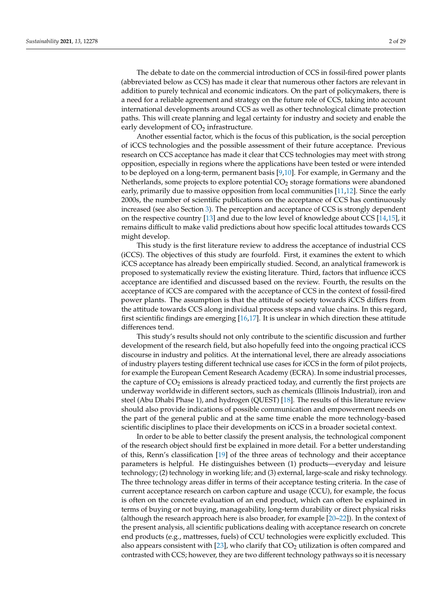The debate to date on the commercial introduction of CCS in fossil-fired power plants (abbreviated below as CCS) has made it clear that numerous other factors are relevant in addition to purely technical and economic indicators. On the part of policymakers, there is a need for a reliable agreement and strategy on the future role of CCS, taking into account international developments around CCS as well as other technological climate protection paths. This will create planning and legal certainty for industry and society and enable the early development of  $CO<sub>2</sub>$  infrastructure.

Another essential factor, which is the focus of this publication, is the social perception of iCCS technologies and the possible assessment of their future acceptance. Previous research on CCS acceptance has made it clear that CCS technologies may meet with strong opposition, especially in regions where the applications have been tested or were intended to be deployed on a long-term, permanent basis [\[9](#page-25-6)[,10\]](#page-25-7). For example, in Germany and the Netherlands, some projects to explore potential  $CO<sub>2</sub>$  storage formations were abandoned early, primarily due to massive opposition from local communities [\[11,](#page-25-8)[12\]](#page-25-9). Since the early 2000s, the number of scientific publications on the acceptance of CCS has continuously increased (see also Section [3\)](#page-5-0). The perception and acceptance of CCS is strongly dependent on the respective country [\[13\]](#page-25-10) and due to the low level of knowledge about CCS [\[14](#page-25-11)[,15\]](#page-25-12), it remains difficult to make valid predictions about how specific local attitudes towards CCS might develop.

This study is the first literature review to address the acceptance of industrial CCS (iCCS). The objectives of this study are fourfold. First, it examines the extent to which iCCS acceptance has already been empirically studied. Second, an analytical framework is proposed to systematically review the existing literature. Third, factors that influence iCCS acceptance are identified and discussed based on the review. Fourth, the results on the acceptance of iCCS are compared with the acceptance of CCS in the context of fossil-fired power plants. The assumption is that the attitude of society towards iCCS differs from the attitude towards CCS along individual process steps and value chains. In this regard, first scientific findings are emerging [\[16,](#page-25-13)[17\]](#page-26-0). It is unclear in which direction these attitude differences tend.

This study's results should not only contribute to the scientific discussion and further development of the research field, but also hopefully feed into the ongoing practical iCCS discourse in industry and politics. At the international level, there are already associations of industry players testing different technical use cases for iCCS in the form of pilot projects, for example the European Cement Research Academy (ECRA). In some industrial processes, the capture of  $CO<sub>2</sub>$  emissions is already practiced today, and currently the first projects are underway worldwide in different sectors, such as chemicals (Illinois Industrial), iron and steel (Abu Dhabi Phase 1), and hydrogen (QUEST) [\[18\]](#page-26-1). The results of this literature review should also provide indications of possible communication and empowerment needs on the part of the general public and at the same time enable the more technology-based scientific disciplines to place their developments on iCCS in a broader societal context.

In order to be able to better classify the present analysis, the technological component of the research object should first be explained in more detail. For a better understanding of this, Renn's classification [\[19\]](#page-26-2) of the three areas of technology and their acceptance parameters is helpful. He distinguishes between (1) products—everyday and leisure technology; (2) technology in working life; and (3) external, large-scale and risky technology. The three technology areas differ in terms of their acceptance testing criteria. In the case of current acceptance research on carbon capture and usage (CCU), for example, the focus is often on the concrete evaluation of an end product, which can often be explained in terms of buying or not buying, manageability, long-term durability or direct physical risks (although the research approach here is also broader, for example [\[20–](#page-26-3)[22\]](#page-26-4)). In the context of the present analysis, all scientific publications dealing with acceptance research on concrete end products (e.g., mattresses, fuels) of CCU technologies were explicitly excluded. This also appears consistent with [\[23\]](#page-26-5), who clarify that  $CO<sub>2</sub>$  utilization is often compared and contrasted with CCS; however, they are two different technology pathways so it is necessary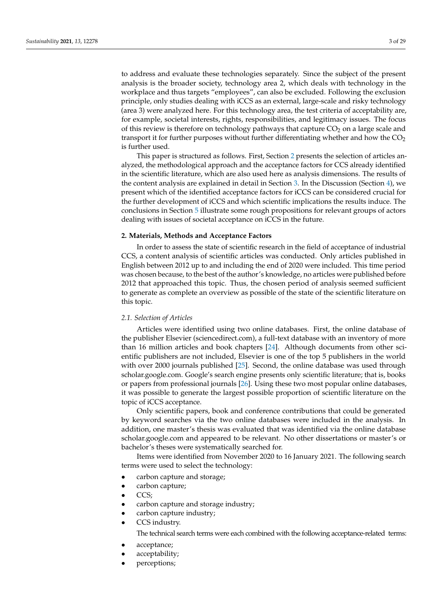to address and evaluate these technologies separately. Since the subject of the present analysis is the broader society, technology area 2, which deals with technology in the workplace and thus targets "employees", can also be excluded. Following the exclusion principle, only studies dealing with iCCS as an external, large-scale and risky technology (area 3) were analyzed here. For this technology area, the test criteria of acceptability are, for example, societal interests, rights, responsibilities, and legitimacy issues. The focus of this review is therefore on technology pathways that capture  $CO<sub>2</sub>$  on a large scale and transport it for further purposes without further differentiating whether and how the  $CO<sub>2</sub>$ is further used.

This paper is structured as follows. First, Section [2](#page-2-0) presents the selection of articles analyzed, the methodological approach and the acceptance factors for CCS already identified in the scientific literature, which are also used here as analysis dimensions. The results of the content analysis are explained in detail in Section [3.](#page-5-0) In the Discussion (Section [4\)](#page-18-0), we present which of the identified acceptance factors for iCCS can be considered crucial for the further development of iCCS and which scientific implications the results induce. The conclusions in Section [5](#page-20-0) illustrate some rough propositions for relevant groups of actors dealing with issues of societal acceptance on iCCS in the future.

# <span id="page-2-0"></span>**2. Materials, Methods and Acceptance Factors**

In order to assess the state of scientific research in the field of acceptance of industrial CCS, a content analysis of scientific articles was conducted. Only articles published in English between 2012 up to and including the end of 2020 were included. This time period was chosen because, to the best of the author's knowledge, no articles were published before 2012 that approached this topic. Thus, the chosen period of analysis seemed sufficient to generate as complete an overview as possible of the state of the scientific literature on this topic.

#### *2.1. Selection of Articles*

Articles were identified using two online databases. First, the online database of the publisher Elsevier (sciencedirect.com), a full-text database with an inventory of more than 16 million articles and book chapters [\[24\]](#page-26-6). Although documents from other scientific publishers are not included, Elsevier is one of the top 5 publishers in the world with over 2000 journals published [\[25\]](#page-26-7). Second, the online database was used through scholar.google.com. Google's search engine presents only scientific literature; that is, books or papers from professional journals [\[26\]](#page-26-8). Using these two most popular online databases, it was possible to generate the largest possible proportion of scientific literature on the topic of iCCS acceptance.

Only scientific papers, book and conference contributions that could be generated by keyword searches via the two online databases were included in the analysis. In addition, one master's thesis was evaluated that was identified via the online database scholar.google.com and appeared to be relevant. No other dissertations or master's or bachelor's theses were systematically searched for.

Items were identified from November 2020 to 16 January 2021. The following search terms were used to select the technology:

- carbon capture and storage;
- carbon capture;
- CCS;
- carbon capture and storage industry;
- carbon capture industry;
- CCS industry.

The technical search terms were each combined with the following acceptance-related terms:

- acceptance;
- acceptability;
- perceptions;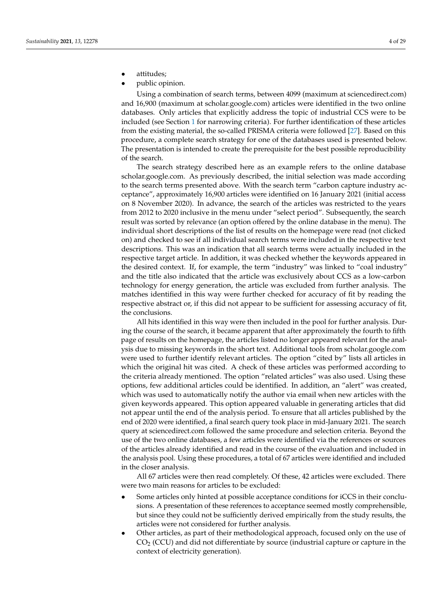- attitudes;
- public opinion.

Using a combination of search terms, between 4099 (maximum at sciencedirect.com) and 16,900 (maximum at scholar.google.com) articles were identified in the two online databases. Only articles that explicitly address the topic of industrial CCS were to be included (see Section [1](#page-0-0) for narrowing criteria). For further identification of these articles from the existing material, the so-called PRISMA criteria were followed [\[27\]](#page-26-9). Based on this procedure, a complete search strategy for one of the databases used is presented below. The presentation is intended to create the prerequisite for the best possible reproducibility of the search.

The search strategy described here as an example refers to the online database scholar.google.com. As previously described, the initial selection was made according to the search terms presented above. With the search term "carbon capture industry acceptance", approximately 16,900 articles were identified on 16 January 2021 (initial access on 8 November 2020). In advance, the search of the articles was restricted to the years from 2012 to 2020 inclusive in the menu under "select period". Subsequently, the search result was sorted by relevance (an option offered by the online database in the menu). The individual short descriptions of the list of results on the homepage were read (not clicked on) and checked to see if all individual search terms were included in the respective text descriptions. This was an indication that all search terms were actually included in the respective target article. In addition, it was checked whether the keywords appeared in the desired context. If, for example, the term "industry" was linked to "coal industry" and the title also indicated that the article was exclusively about CCS as a low-carbon technology for energy generation, the article was excluded from further analysis. The matches identified in this way were further checked for accuracy of fit by reading the respective abstract or, if this did not appear to be sufficient for assessing accuracy of fit, the conclusions.

All hits identified in this way were then included in the pool for further analysis. During the course of the search, it became apparent that after approximately the fourth to fifth page of results on the homepage, the articles listed no longer appeared relevant for the analysis due to missing keywords in the short text. Additional tools from scholar.google.com were used to further identify relevant articles. The option "cited by" lists all articles in which the original hit was cited. A check of these articles was performed according to the criteria already mentioned. The option "related articles" was also used. Using these options, few additional articles could be identified. In addition, an "alert" was created, which was used to automatically notify the author via email when new articles with the given keywords appeared. This option appeared valuable in generating articles that did not appear until the end of the analysis period. To ensure that all articles published by the end of 2020 were identified, a final search query took place in mid-January 2021. The search query at sciencedirect.com followed the same procedure and selection criteria. Beyond the use of the two online databases, a few articles were identified via the references or sources of the articles already identified and read in the course of the evaluation and included in the analysis pool. Using these procedures, a total of 67 articles were identified and included in the closer analysis.

All 67 articles were then read completely. Of these, 42 articles were excluded. There were two main reasons for articles to be excluded:

- Some articles only hinted at possible acceptance conditions for iCCS in their conclusions. A presentation of these references to acceptance seemed mostly comprehensible, but since they could not be sufficiently derived empirically from the study results, the articles were not considered for further analysis.
- Other articles, as part of their methodological approach, focused only on the use of  $CO<sub>2</sub>$  (CCU) and did not differentiate by source (industrial capture or capture in the context of electricity generation).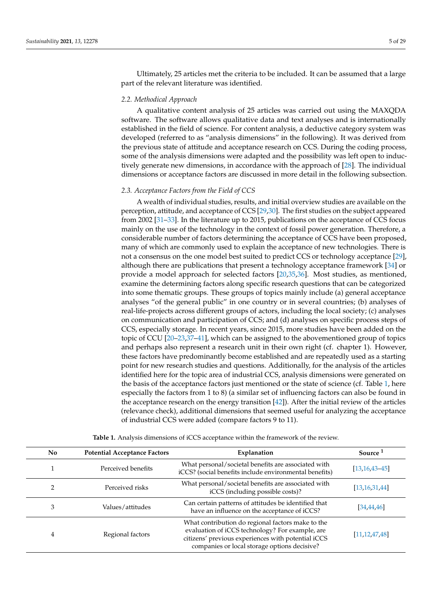Ultimately, 25 articles met the criteria to be included. It can be assumed that a large part of the relevant literature was identified.

# *2.2. Methodical Approach*

A qualitative content analysis of 25 articles was carried out using the MAXQDA software. The software allows qualitative data and text analyses and is internationally established in the field of science. For content analysis, a deductive category system was developed (referred to as "analysis dimensions" in the following). It was derived from the previous state of attitude and acceptance research on CCS. During the coding process, some of the analysis dimensions were adapted and the possibility was left open to inductively generate new dimensions, in accordance with the approach of [\[28\]](#page-26-10). The individual dimensions or acceptance factors are discussed in more detail in the following subsection.

## *2.3. Acceptance Factors from the Field of CCS*

A wealth of individual studies, results, and initial overview studies are available on the perception, attitude, and acceptance of CCS [\[29,](#page-26-11)[30\]](#page-26-12). The first studies on the subject appeared from 2002 [\[31–](#page-26-13)[33\]](#page-26-14). In the literature up to 2015, publications on the acceptance of CCS focus mainly on the use of the technology in the context of fossil power generation. Therefore, a considerable number of factors determining the acceptance of CCS have been proposed, many of which are commonly used to explain the acceptance of new technologies. There is not a consensus on the one model best suited to predict CCS or technology acceptance [\[29\]](#page-26-11), although there are publications that present a technology acceptance framework [\[34\]](#page-26-15) or provide a model approach for selected factors [\[20](#page-26-3)[,35](#page-26-16)[,36\]](#page-26-17). Most studies, as mentioned, examine the determining factors along specific research questions that can be categorized into some thematic groups. These groups of topics mainly include (a) general acceptance analyses "of the general public" in one country or in several countries; (b) analyses of real-life-projects across different groups of actors, including the local society; (c) analyses on communication and participation of CCS; and (d) analyses on specific process steps of CCS, especially storage. In recent years, since 2015, more studies have been added on the topic of CCU [\[20–](#page-26-3)[23](#page-26-5)[,37](#page-26-18)[–41\]](#page-26-19), which can be assigned to the abovementioned group of topics and perhaps also represent a research unit in their own right (cf. chapter 1). However, these factors have predominantly become established and are repeatedly used as a starting point for new research studies and questions. Additionally, for the analysis of the articles identified here for the topic area of industrial CCS, analysis dimensions were generated on the basis of the acceptance factors just mentioned or the state of science (cf. Table [1,](#page-5-1) here especially the factors from 1 to 8) (a similar set of influencing factors can also be found in the acceptance research on the energy transition [\[42\]](#page-26-20)). After the initial review of the articles (relevance check), additional dimensions that seemed useful for analyzing the acceptance of industrial CCS were added (compare factors 9 to 11).

| <b>No</b> | <b>Potential Acceptance Factors</b> | Explanation                                                                                                                                                                                                | Source <sup>1</sup> |
|-----------|-------------------------------------|------------------------------------------------------------------------------------------------------------------------------------------------------------------------------------------------------------|---------------------|
|           | Perceived benefits                  | What personal/societal benefits are associated with<br>iCCS? (social benefits include environmental benefits)                                                                                              | $[13, 16, 43 - 45]$ |
|           | Perceived risks                     | What personal/societal benefits are associated with<br>iCCS (including possible costs)?                                                                                                                    | [13, 16, 31, 44]    |
| 3         | Values/attitudes                    | Can certain patterns of attitudes be identified that<br>have an influence on the acceptance of iCCS?                                                                                                       | [34, 44, 46]        |
| 4         | Regional factors                    | What contribution do regional factors make to the<br>evaluation of iCCS technology? For example, are<br>citizens' previous experiences with potential iCCS<br>companies or local storage options decisive? | [11, 12, 47, 48]    |

**Table 1.** Analysis dimensions of iCCS acceptance within the framework of the review.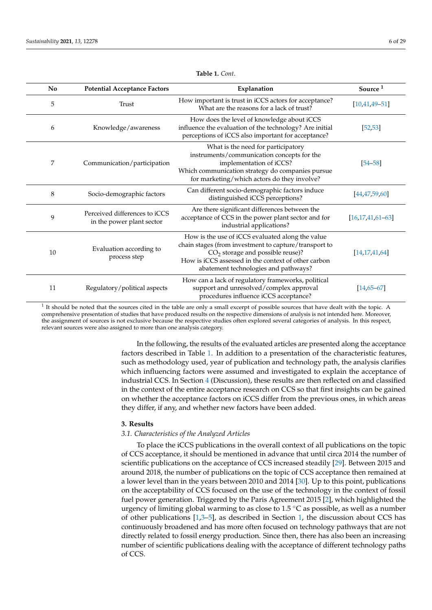<span id="page-5-1"></span>

| N <sub>0</sub> | <b>Potential Acceptance Factors</b>                        | Explanation                                                                                                                                                                                                                                    | Source <sup>1</sup> |
|----------------|------------------------------------------------------------|------------------------------------------------------------------------------------------------------------------------------------------------------------------------------------------------------------------------------------------------|---------------------|
| 5              | Trust                                                      | How important is trust in iCCS actors for acceptance?<br>What are the reasons for a lack of trust?                                                                                                                                             | $[10, 41, 49 - 51]$ |
| 6              | Knowledge/awareness                                        | How does the level of knowledge about iCCS<br>influence the evaluation of the technology? Are initial<br>perceptions of iCCS also important for acceptance?                                                                                    | [52, 53]            |
| 7              | Communication/participation                                | What is the need for participatory<br>instruments/communication concepts for the<br>implementation of iCCS?<br>Which communication strategy do companies pursue<br>for marketing/which actors do they involve?                                 | $[54 - 58]$         |
| 8              | Socio-demographic factors                                  | Can different socio-demographic factors induce<br>distinguished iCCS perceptions?                                                                                                                                                              | [44, 47, 59, 60]    |
| 9              | Perceived differences to iCCS<br>in the power plant sector | Are there significant differences between the<br>acceptance of CCS in the power plant sector and for<br>industrial applications?                                                                                                               | [16.17.41.61–63]    |
| 10             | Evaluation according to<br>process step                    | How is the use of iCCS evaluated along the value<br>chain stages (from investment to capture/transport to<br>$CO2$ storage and possible reuse)?<br>How is iCCS assessed in the context of other carbon<br>abatement technologies and pathways? | [14, 17, 41, 64]    |
| 11             | Regulatory/political aspects                               | How can a lack of regulatory frameworks, political<br>support and unresolved/complex approval<br>procedures influence iCCS acceptance?                                                                                                         | $[14,65-67]$        |

 $<sup>1</sup>$  It should be noted that the sources cited in the table are only a small excerpt of possible sources that have dealt with the topic. A</sup> comprehensive presentation of studies that have produced results on the respective dimensions of analysis is not intended here. Moreover, the assignment of sources is not exclusive because the respective studies often explored several categories of analysis. In this respect, relevant sources were also assigned to more than one analysis category.

> In the following, the results of the evaluated articles are presented along the acceptance factors described in Table [1.](#page-5-1) In addition to a presentation of the characteristic features, such as methodology used, year of publication and technology path, the analysis clarifies which influencing factors were assumed and investigated to explain the acceptance of industrial CCS. In Section [4](#page-18-0) (Discussion), these results are then reflected on and classified in the context of the entire acceptance research on CCS so that first insights can be gained on whether the acceptance factors on iCCS differ from the previous ones, in which areas they differ, if any, and whether new factors have been added.

#### <span id="page-5-0"></span>**3. Results**

#### *3.1. Characteristics of the Analyzed Articles*

To place the iCCS publications in the overall context of all publications on the topic of CCS acceptance, it should be mentioned in advance that until circa 2014 the number of scientific publications on the acceptance of CCS increased steadily [\[29\]](#page-26-11). Between 2015 and around 2018, the number of publications on the topic of CCS acceptance then remained at a lower level than in the years between 2010 and 2014 [\[30\]](#page-26-12). Up to this point, publications on the acceptability of CCS focused on the use of the technology in the context of fossil fuel power generation. Triggered by the Paris Agreement 2015 [\[2\]](#page-25-14), which highlighted the urgency of limiting global warming to as close to  $1.5\textdegree$ C as possible, as well as a number of other publications  $[1,3-5]$  $[1,3-5]$  $[1,3-5]$ , as described in Section [1,](#page-0-0) the discussion about CCS has continuously broadened and has more often focused on technology pathways that are not directly related to fossil energy production. Since then, there has also been an increasing number of scientific publications dealing with the acceptance of different technology paths of CCS.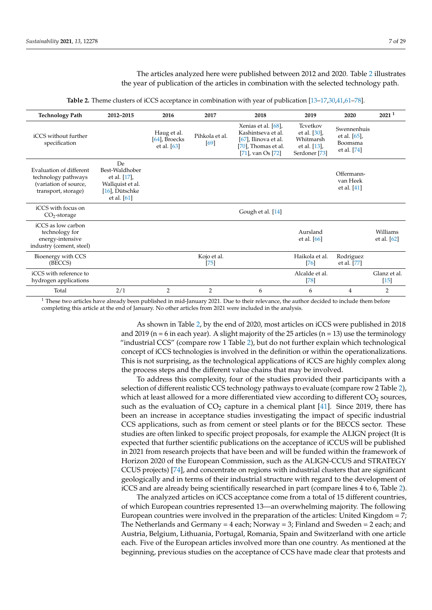The articles analyzed here were published between 2012 and 2020. Table [2](#page-6-0) illustrates the year of publication of the articles in combination with the selected technology path.

<span id="page-6-0"></span>

| <b>Technology Path</b>                                                                         | 2012-2015                                                                                   | 2016                                          | 2017                   | 2018                                                                                                             | 2019                                                                              | 2020                                                  | 2021 <sup>1</sup>         |
|------------------------------------------------------------------------------------------------|---------------------------------------------------------------------------------------------|-----------------------------------------------|------------------------|------------------------------------------------------------------------------------------------------------------|-----------------------------------------------------------------------------------|-------------------------------------------------------|---------------------------|
| iCCS without further<br>specification                                                          |                                                                                             | Haug et al.<br>[64], Broecks<br>et al. $[63]$ | Pihkola et al.<br>[69] | Xenias et al. [68],<br>Kashintseva et al.<br>$[67]$ , Ilinova et al.<br>[70], Thomas et al.<br>[71], van Os [72] | Tcvetkov<br>et al. [30],<br>Whitmarsh<br>et al. [13],<br>Serdoner <sup>[73]</sup> | Swennenhuis<br>et al. [65],<br>Boomsma<br>et al. [74] |                           |
| Evaluation of different<br>technology pathways<br>(variation of source,<br>transport, storage) | De<br>Best-Waldhober<br>et al. [17],<br>Wallquist et al.<br>[16], Dütschke<br>et al. $[61]$ |                                               |                        |                                                                                                                  |                                                                                   | Offermann-<br>van Heek<br>et al. $[41]$               |                           |
| iCCS with focus on<br>$CO2$ -storage                                                           |                                                                                             |                                               |                        | Gough et al. [14]                                                                                                |                                                                                   |                                                       |                           |
| iCCS as low carbon<br>technology for<br>energy-intensive<br>industry (cement, steel)           |                                                                                             |                                               |                        |                                                                                                                  | Aursland<br>et al. $[66]$                                                         |                                                       | Williams<br>et al. $[62]$ |
| Bioenergy with CCS<br>(BECCS)                                                                  |                                                                                             |                                               | Kojo et al.<br>$[75]$  |                                                                                                                  | Haikola et al.<br>[76]                                                            | Rodriguez<br>et al. [77]                              |                           |
| iCCS with reference to<br>hydrogen applications                                                |                                                                                             |                                               |                        |                                                                                                                  | Alcalde et al.<br>[78]                                                            |                                                       | Glanz et al.<br>$[15]$    |
| Total                                                                                          | 2/1                                                                                         | $\overline{2}$                                | $\overline{2}$         | 6                                                                                                                | 6                                                                                 | 4                                                     | $\overline{2}$            |

|  |  |  |  |  | <b>Table 2.</b> Theme clusters of iCCS acceptance in combination with year of publication $[13-17,30,41,61-78]$ . |  |  |  |  |  |  |  |  |  |  |  |
|--|--|--|--|--|-------------------------------------------------------------------------------------------------------------------|--|--|--|--|--|--|--|--|--|--|--|
|--|--|--|--|--|-------------------------------------------------------------------------------------------------------------------|--|--|--|--|--|--|--|--|--|--|--|

 $1$  These two articles have already been published in mid-January 2021. Due to their relevance, the author decided to include them before completing this article at the end of January. No other articles from 2021 were included in the analysis.

> As shown in Table [2,](#page-6-0) by the end of 2020, most articles on iCCS were published in 2018 and 2019 ( $n = 6$  in each year). A slight majority of the 25 articles ( $n = 13$ ) use the terminology "industrial CCS" (compare row 1 Table [2\)](#page-6-0), but do not further explain which technological concept of iCCS technologies is involved in the definition or within the operationalizations. This is not surprising, as the technological applications of iCCS are highly complex along the process steps and the different value chains that may be involved.

> To address this complexity, four of the studies provided their participants with a selection of different realistic CCS technology pathways to evaluate (compare row 2 Table [2\)](#page-6-0), which at least allowed for a more differentiated view according to different  $CO<sub>2</sub>$  sources, such as the evaluation of  $CO<sub>2</sub>$  capture in a chemical plant [\[41\]](#page-26-19). Since 2019, there has been an increase in acceptance studies investigating the impact of specific industrial CCS applications, such as from cement or steel plants or for the BECCS sector. These studies are often linked to specific project proposals, for example the ALIGN project (It is expected that further scientific publications on the acceptance of iCCUS will be published in 2021 from research projects that have been and will be funded within the framework of Horizon 2020 of the European Commission, such as the ALIGN-CCUS and STRATEGY CCUS projects) [\[74\]](#page-28-2), and concentrate on regions with industrial clusters that are significant geologically and in terms of their industrial structure with regard to the development of iCCS and are already being scientifically researched in part (compare lines 4 to 6, Table [2\)](#page-6-0).

> The analyzed articles on iCCS acceptance come from a total of 15 different countries, of which European countries represented 13—an overwhelming majority. The following European countries were involved in the preparation of the articles: United Kingdom = 7; The Netherlands and Germany =  $4$  each; Norway =  $3$ ; Finland and Sweden =  $2$  each; and Austria, Belgium, Lithuania, Portugal, Romania, Spain and Switzerland with one article each. Five of the European articles involved more than one country. As mentioned at the beginning, previous studies on the acceptance of CCS have made clear that protests and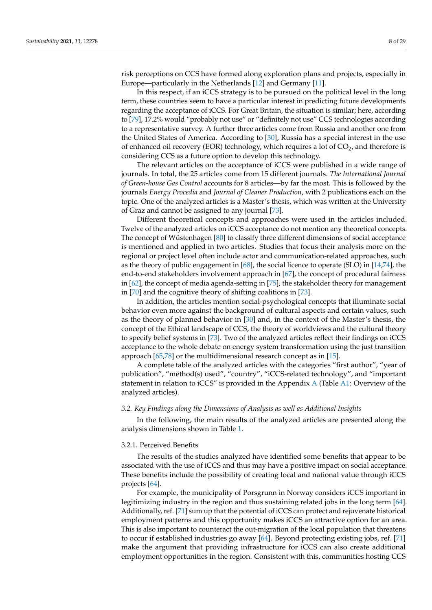risk perceptions on CCS have formed along exploration plans and projects, especially in Europe—particularly in the Netherlands [\[12\]](#page-25-9) and Germany [\[11\]](#page-25-8).

In this respect, if an iCCS strategy is to be pursued on the political level in the long term, these countries seem to have a particular interest in predicting future developments regarding the acceptance of iCCS. For Great Britain, the situation is similar; here, according to [\[79\]](#page-28-6), 17.2% would "probably not use" or "definitely not use" CCS technologies according to a representative survey. A further three articles come from Russia and another one from the United States of America. According to [\[30\]](#page-26-12), Russia has a special interest in the use of enhanced oil recovery (EOR) technology, which requires a lot of  $CO<sub>2</sub>$ , and therefore is considering CCS as a future option to develop this technology.

The relevant articles on the acceptance of iCCS were published in a wide range of journals. In total, the 25 articles come from 15 different journals. *The International Journal of Green-house Gas Control* accounts for 8 articles—by far the most. This is followed by the journals *Energy Procedia* and *Journal of Cleaner Production*, with 2 publications each on the topic. One of the analyzed articles is a Master's thesis, which was written at the University of Graz and cannot be assigned to any journal [\[73\]](#page-28-1).

Different theoretical concepts and approaches were used in the articles included. Twelve of the analyzed articles on iCCS acceptance do not mention any theoretical concepts. The concept of Wüstenhagen [\[80\]](#page-28-7) to classify three different dimensions of social acceptance is mentioned and applied in two articles. Studies that focus their analysis more on the regional or project level often include actor and communication-related approaches, such as the theory of public engagement in [\[68\]](#page-27-17), the social licence to operate (SLO) in [\[14,](#page-25-11)[74\]](#page-28-2), the end-to-end stakeholders involvement approach in [\[67\]](#page-27-15), the concept of procedural fairness in [\[62\]](#page-27-22), the concept of media agenda-setting in [\[75\]](#page-28-3), the stakeholder theory for management in [\[70\]](#page-27-18) and the cognitive theory of shifting coalitions in [\[73\]](#page-28-1).

In addition, the articles mention social-psychological concepts that illuminate social behavior even more against the background of cultural aspects and certain values, such as the theory of planned behavior in [\[30\]](#page-26-12) and, in the context of the Master's thesis, the concept of the Ethical landscape of CCS, the theory of worldviews and the cultural theory to specify belief systems in [\[73\]](#page-28-1). Two of the analyzed articles reflect their findings on iCCS acceptance to the whole debate on energy system transformation using the just transition approach [\[65](#page-27-14)[,78\]](#page-28-0) or the multidimensional research concept as in [\[15\]](#page-25-12).

A complete table of the analyzed articles with the categories "first author", "year of publication", "method(s) used", "country", "iCCS-related technology", and "important statement in relation to iCCS" is provided in the Appendix [A](#page-21-0) (Table [A1:](#page-25-16) Overview of the analyzed articles).

# *3.2. Key Findings along the Dimensions of Analysis as well as Additional Insights*

In the following, the main results of the analyzed articles are presented along the analysis dimensions shown in Table [1.](#page-5-1)

#### <span id="page-7-0"></span>3.2.1. Perceived Benefits

The results of the studies analyzed have identified some benefits that appear to be associated with the use of iCCS and thus may have a positive impact on social acceptance. These benefits include the possibility of creating local and national value through iCCS projects [\[64\]](#page-27-13).

For example, the municipality of Porsgrunn in Norway considers iCCS important in legitimizing industry in the region and thus sustaining related jobs in the long term [\[64\]](#page-27-13). Additionally, ref. [\[71\]](#page-27-19) sum up that the potential of iCCS can protect and rejuvenate historical employment patterns and this opportunity makes iCCS an attractive option for an area. This is also important to counteract the out-migration of the local population that threatens to occur if established industries go away [\[64\]](#page-27-13). Beyond protecting existing jobs, ref. [\[71\]](#page-27-19) make the argument that providing infrastructure for iCCS can also create additional employment opportunities in the region. Consistent with this, communities hosting CCS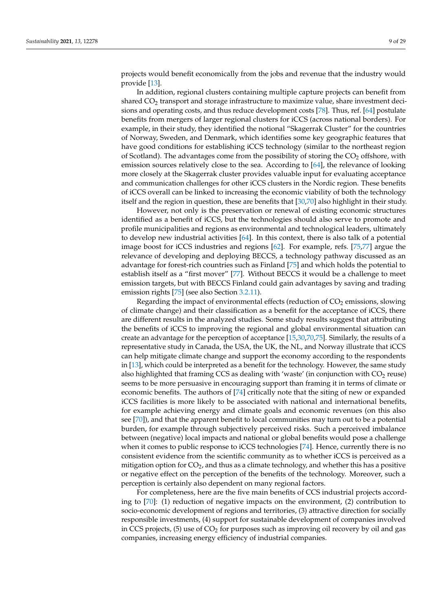projects would benefit economically from the jobs and revenue that the industry would provide [\[13\]](#page-25-10).

In addition, regional clusters containing multiple capture projects can benefit from shared  $CO<sub>2</sub>$  transport and storage infrastructure to maximize value, share investment decisions and operating costs, and thus reduce development costs [\[78\]](#page-28-0). Thus, ref. [\[64\]](#page-27-13) postulate benefits from mergers of larger regional clusters for iCCS (across national borders). For example, in their study, they identified the notional "Skagerrak Cluster" for the countries of Norway, Sweden, and Denmark, which identifies some key geographic features that have good conditions for establishing iCCS technology (similar to the northeast region of Scotland). The advantages come from the possibility of storing the  $CO<sub>2</sub>$  offshore, with emission sources relatively close to the sea. According to [\[64\]](#page-27-13), the relevance of looking more closely at the Skagerrak cluster provides valuable input for evaluating acceptance and communication challenges for other iCCS clusters in the Nordic region. These benefits of iCCS overall can be linked to increasing the economic viability of both the technology itself and the region in question, these are benefits that [\[30](#page-26-12)[,70\]](#page-27-18) also highlight in their study.

However, not only is the preservation or renewal of existing economic structures identified as a benefit of iCCS, but the technologies should also serve to promote and profile municipalities and regions as environmental and technological leaders, ultimately to develop new industrial activities [\[64\]](#page-27-13). In this context, there is also talk of a potential image boost for iCCS industries and regions [\[62\]](#page-27-22). For example, refs. [\[75,](#page-28-3)[77\]](#page-28-5) argue the relevance of developing and deploying BECCS, a technology pathway discussed as an advantage for forest-rich countries such as Finland [\[75\]](#page-28-3) and which holds the potential to establish itself as a "first mover" [\[77\]](#page-28-5). Without BECCS it would be a challenge to meet emission targets, but with BECCS Finland could gain advantages by saving and trading emission rights [\[75\]](#page-28-3) (see also Section [3.2.11\)](#page-17-0).

Regarding the impact of environmental effects (reduction of  $CO<sub>2</sub>$  emissions, slowing of climate change) and their classification as a benefit for the acceptance of iCCS, there are different results in the analyzed studies. Some study results suggest that attributing the benefits of iCCS to improving the regional and global environmental situation can create an advantage for the perception of acceptance [\[15](#page-25-12)[,30,](#page-26-12)[70,](#page-27-18)[75\]](#page-28-3). Similarly, the results of a representative study in Canada, the USA, the UK, the NL, and Norway illustrate that iCCS can help mitigate climate change and support the economy according to the respondents in [\[13\]](#page-25-10), which could be interpreted as a benefit for the technology. However, the same study also highlighted that framing CCS as dealing with 'waste' (in conjunction with  $CO<sub>2</sub>$  reuse) seems to be more persuasive in encouraging support than framing it in terms of climate or economic benefits. The authors of [\[74\]](#page-28-2) critically note that the siting of new or expanded iCCS facilities is more likely to be associated with national and international benefits, for example achieving energy and climate goals and economic revenues (on this also see [\[70\]](#page-27-18)), and that the apparent benefit to local communities may turn out to be a potential burden, for example through subjectively perceived risks. Such a perceived imbalance between (negative) local impacts and national or global benefits would pose a challenge when it comes to public response to iCCS technologies [\[74\]](#page-28-2). Hence, currently there is no consistent evidence from the scientific community as to whether iCCS is perceived as a mitigation option for  $CO<sub>2</sub>$ , and thus as a climate technology, and whether this has a positive or negative effect on the perception of the benefits of the technology. Moreover, such a perception is certainly also dependent on many regional factors.

For completeness, here are the five main benefits of CCS industrial projects according to [\[70\]](#page-27-18): (1) reduction of negative impacts on the environment, (2) contribution to socio-economic development of regions and territories, (3) attractive direction for socially responsible investments, (4) support for sustainable development of companies involved in CCS projects, (5) use of  $CO<sub>2</sub>$  for purposes such as improving oil recovery by oil and gas companies, increasing energy efficiency of industrial companies.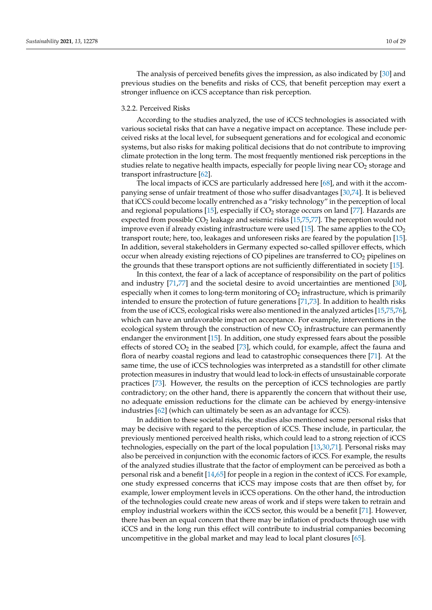The analysis of perceived benefits gives the impression, as also indicated by [\[30\]](#page-26-12) and previous studies on the benefits and risks of CCS, that benefit perception may exert a stronger influence on iCCS acceptance than risk perception.

## <span id="page-9-0"></span>3.2.2. Perceived Risks

According to the studies analyzed, the use of iCCS technologies is associated with various societal risks that can have a negative impact on acceptance. These include perceived risks at the local level, for subsequent generations and for ecological and economic systems, but also risks for making political decisions that do not contribute to improving climate protection in the long term. The most frequently mentioned risk perceptions in the studies relate to negative health impacts, especially for people living near  $CO<sub>2</sub>$  storage and transport infrastructure [\[62\]](#page-27-22).

The local impacts of iCCS are particularly addressed here [\[68\]](#page-27-17), and with it the accompanying sense of unfair treatment of those who suffer disadvantages [\[30](#page-26-12)[,74\]](#page-28-2). It is believed that iCCS could become locally entrenched as a "risky technology" in the perception of local and regional populations  $[15]$ , especially if  $CO<sub>2</sub>$  storage occurs on land  $[77]$ . Hazards are expected from possible  $CO<sub>2</sub>$  leakage and seismic risks [\[15](#page-25-12)[,75](#page-28-3)[,77\]](#page-28-5). The perception would not improve even if already existing infrastructure were used [\[15\]](#page-25-12). The same applies to the  $CO<sub>2</sub>$ transport route; here, too, leakages and unforeseen risks are feared by the population [\[15\]](#page-25-12). In addition, several stakeholders in Germany expected so-called spillover effects, which occur when already existing rejections of CO pipelines are transferred to  $CO<sub>2</sub>$  pipelines on the grounds that these transport options are not sufficiently differentiated in society [\[15\]](#page-25-12).

In this context, the fear of a lack of acceptance of responsibility on the part of politics and industry [\[71](#page-27-19)[,77\]](#page-28-5) and the societal desire to avoid uncertainties are mentioned [\[30\]](#page-26-12), especially when it comes to long-term monitoring of  $CO<sub>2</sub>$  infrastructure, which is primarily intended to ensure the protection of future generations [\[71](#page-27-19)[,73\]](#page-28-1). In addition to health risks from the use of iCCS, ecological risks were also mentioned in the analyzed articles [\[15](#page-25-12)[,75](#page-28-3)[,76\]](#page-28-4), which can have an unfavorable impact on acceptance. For example, interventions in the ecological system through the construction of new  $CO<sub>2</sub>$  infrastructure can permanently endanger the environment [\[15\]](#page-25-12). In addition, one study expressed fears about the possible effects of stored  $CO<sub>2</sub>$  in the seabed [\[73\]](#page-28-1), which could, for example, affect the fauna and flora of nearby coastal regions and lead to catastrophic consequences there [\[71\]](#page-27-19). At the same time, the use of iCCS technologies was interpreted as a standstill for other climate protection measures in industry that would lead to lock-in effects of unsustainable corporate practices [\[73\]](#page-28-1). However, the results on the perception of iCCS technologies are partly contradictory; on the other hand, there is apparently the concern that without their use, no adequate emission reductions for the climate can be achieved by energy-intensive industries [\[62\]](#page-27-22) (which can ultimately be seen as an advantage for iCCS).

In addition to these societal risks, the studies also mentioned some personal risks that may be decisive with regard to the perception of iCCS. These include, in particular, the previously mentioned perceived health risks, which could lead to a strong rejection of iCCS technologies, especially on the part of the local population [\[13,](#page-25-10)[30,](#page-26-12)[71\]](#page-27-19). Personal risks may also be perceived in conjunction with the economic factors of iCCS. For example, the results of the analyzed studies illustrate that the factor of employment can be perceived as both a personal risk and a benefit [\[14,](#page-25-11)[65\]](#page-27-14) for people in a region in the context of iCCS. For example, one study expressed concerns that iCCS may impose costs that are then offset by, for example, lower employment levels in iCCS operations. On the other hand, the introduction of the technologies could create new areas of work and if steps were taken to retrain and employ industrial workers within the iCCS sector, this would be a benefit [\[71\]](#page-27-19). However, there has been an equal concern that there may be inflation of products through use with iCCS and in the long run this effect will contribute to industrial companies becoming uncompetitive in the global market and may lead to local plant closures [\[65\]](#page-27-14).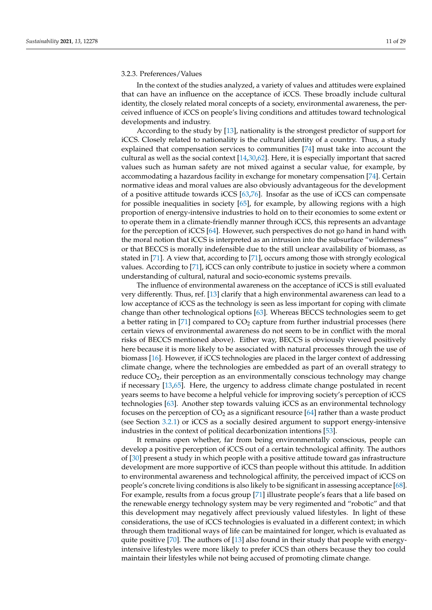# <span id="page-10-0"></span>3.2.3. Preferences/Values

In the context of the studies analyzed, a variety of values and attitudes were explained that can have an influence on the acceptance of iCCS. These broadly include cultural identity, the closely related moral concepts of a society, environmental awareness, the perceived influence of iCCS on people's living conditions and attitudes toward technological developments and industry.

According to the study by [\[13\]](#page-25-10), nationality is the strongest predictor of support for iCCS. Closely related to nationality is the cultural identity of a country. Thus, a study explained that compensation services to communities [\[74\]](#page-28-2) must take into account the cultural as well as the social context [\[14,](#page-25-11)[30,](#page-26-12)[62\]](#page-27-22). Here, it is especially important that sacred values such as human safety are not mixed against a secular value, for example, by accommodating a hazardous facility in exchange for monetary compensation [\[74\]](#page-28-2). Certain normative ideas and moral values are also obviously advantageous for the development of a positive attitude towards iCCS [\[63](#page-27-12)[,76\]](#page-28-4). Insofar as the use of iCCS can compensate for possible inequalities in society [\[65\]](#page-27-14), for example, by allowing regions with a high proportion of energy-intensive industries to hold on to their economies to some extent or to operate them in a climate-friendly manner through iCCS, this represents an advantage for the perception of iCCS [\[64\]](#page-27-13). However, such perspectives do not go hand in hand with the moral notion that iCCS is interpreted as an intrusion into the subsurface "wilderness" or that BECCS is morally indefensible due to the still unclear availability of biomass, as stated in [\[71\]](#page-27-19). A view that, according to [\[71\]](#page-27-19), occurs among those with strongly ecological values. According to [\[71\]](#page-27-19), iCCS can only contribute to justice in society where a common understanding of cultural, natural and socio-economic systems prevails.

The influence of environmental awareness on the acceptance of iCCS is still evaluated very differently. Thus, ref. [\[13\]](#page-25-10) clarify that a high environmental awareness can lead to a low acceptance of iCCS as the technology is seen as less important for coping with climate change than other technological options [\[63\]](#page-27-12). Whereas BECCS technologies seem to get a better rating in [\[71\]](#page-27-19) compared to  $CO<sub>2</sub>$  capture from further industrial processes (here certain views of environmental awareness do not seem to be in conflict with the moral risks of BECCS mentioned above). Either way, BECCS is obviously viewed positively here because it is more likely to be associated with natural processes through the use of biomass [\[16\]](#page-25-13). However, if iCCS technologies are placed in the larger context of addressing climate change, where the technologies are embedded as part of an overall strategy to reduce  $CO<sub>2</sub>$ , their perception as an environmentally conscious technology may change if necessary [\[13,](#page-25-10)[65\]](#page-27-14). Here, the urgency to address climate change postulated in recent years seems to have become a helpful vehicle for improving society's perception of iCCS technologies [\[63\]](#page-27-12). Another step towards valuing iCCS as an environmental technology focuses on the perception of  $CO<sub>2</sub>$  as a significant resource [\[64\]](#page-27-13) rather than a waste product (see Section [3.2.1\)](#page-7-0) or iCCS as a socially desired argument to support energy-intensive industries in the context of political decarbonization intentions [\[53\]](#page-27-6).

It remains open whether, far from being environmentally conscious, people can develop a positive perception of iCCS out of a certain technological affinity. The authors of [\[30\]](#page-26-12) present a study in which people with a positive attitude toward gas infrastructure development are more supportive of iCCS than people without this attitude. In addition to environmental awareness and technological affinity, the perceived impact of iCCS on people's concrete living conditions is also likely to be significant in assessing acceptance [\[68\]](#page-27-17). For example, results from a focus group [\[71\]](#page-27-19) illustrate people's fears that a life based on the renewable energy technology system may be very regimented and "robotic" and that this development may negatively affect previously valued lifestyles. In light of these considerations, the use of iCCS technologies is evaluated in a different context; in which through them traditional ways of life can be maintained for longer, which is evaluated as quite positive [\[70\]](#page-27-18). The authors of [\[13\]](#page-25-10) also found in their study that people with energyintensive lifestyles were more likely to prefer iCCS than others because they too could maintain their lifestyles while not being accused of promoting climate change.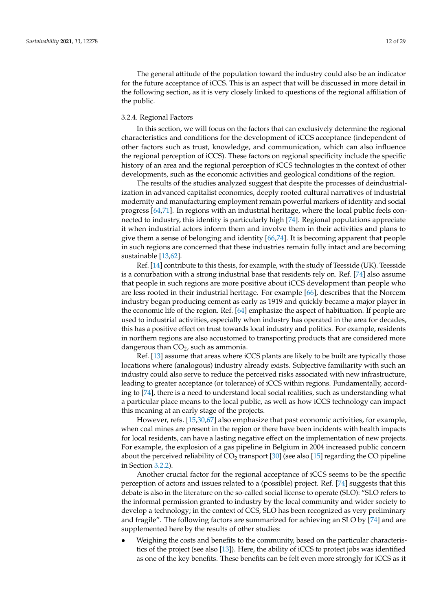The general attitude of the population toward the industry could also be an indicator for the future acceptance of iCCS. This is an aspect that will be discussed in more detail in the following section, as it is very closely linked to questions of the regional affiliation of the public.

# <span id="page-11-0"></span>3.2.4. Regional Factors

In this section, we will focus on the factors that can exclusively determine the regional characteristics and conditions for the development of iCCS acceptance (independent of other factors such as trust, knowledge, and communication, which can also influence the regional perception of iCCS). These factors on regional specificity include the specific history of an area and the regional perception of iCCS technologies in the context of other developments, such as the economic activities and geological conditions of the region.

The results of the studies analyzed suggest that despite the processes of deindustrialization in advanced capitalist economies, deeply rooted cultural narratives of industrial modernity and manufacturing employment remain powerful markers of identity and social progress [\[64](#page-27-13)[,71\]](#page-27-19). In regions with an industrial heritage, where the local public feels connected to industry, this identity is particularly high [\[74\]](#page-28-2). Regional populations appreciate it when industrial actors inform them and involve them in their activities and plans to give them a sense of belonging and identity [\[66,](#page-27-21)[74\]](#page-28-2). It is becoming apparent that people in such regions are concerned that these industries remain fully intact and are becoming sustainable [\[13,](#page-25-10)[62\]](#page-27-22).

Ref. [\[14\]](#page-25-11) contribute to this thesis, for example, with the study of Teesside (UK). Teesside is a conurbation with a strong industrial base that residents rely on. Ref. [\[74\]](#page-28-2) also assume that people in such regions are more positive about iCCS development than people who are less rooted in their industrial heritage. For example [\[66\]](#page-27-21), describes that the Norcem industry began producing cement as early as 1919 and quickly became a major player in the economic life of the region. Ref. [\[64\]](#page-27-13) emphasize the aspect of habituation. If people are used to industrial activities, especially when industry has operated in the area for decades, this has a positive effect on trust towards local industry and politics. For example, residents in northern regions are also accustomed to transporting products that are considered more dangerous than  $CO<sub>2</sub>$ , such as ammonia.

Ref. [\[13\]](#page-25-10) assume that areas where iCCS plants are likely to be built are typically those locations where (analogous) industry already exists. Subjective familiarity with such an industry could also serve to reduce the perceived risks associated with new infrastructure, leading to greater acceptance (or tolerance) of iCCS within regions. Fundamentally, according to [\[74\]](#page-28-2), there is a need to understand local social realities, such as understanding what a particular place means to the local public, as well as how iCCS technology can impact this meaning at an early stage of the projects.

However, refs. [\[15](#page-25-12)[,30](#page-26-12)[,67\]](#page-27-15) also emphasize that past economic activities, for example, when coal mines are present in the region or there have been incidents with health impacts for local residents, can have a lasting negative effect on the implementation of new projects. For example, the explosion of a gas pipeline in Belgium in 2004 increased public concern about the perceived reliability of  $CO<sub>2</sub>$  transport [\[30\]](#page-26-12) (see also [\[15\]](#page-25-12) regarding the CO pipeline in Section [3.2.2\)](#page-9-0).

Another crucial factor for the regional acceptance of iCCS seems to be the specific perception of actors and issues related to a (possible) project. Ref. [\[74\]](#page-28-2) suggests that this debate is also in the literature on the so-called social license to operate (SLO): "SLO refers to the informal permission granted to industry by the local community and wider society to develop a technology; in the context of CCS, SLO has been recognized as very preliminary and fragile". The following factors are summarized for achieving an SLO by [\[74\]](#page-28-2) and are supplemented here by the results of other studies:

• Weighing the costs and benefits to the community, based on the particular characteristics of the project (see also [\[13\]](#page-25-10)). Here, the ability of iCCS to protect jobs was identified as one of the key benefits. These benefits can be felt even more strongly for iCCS as it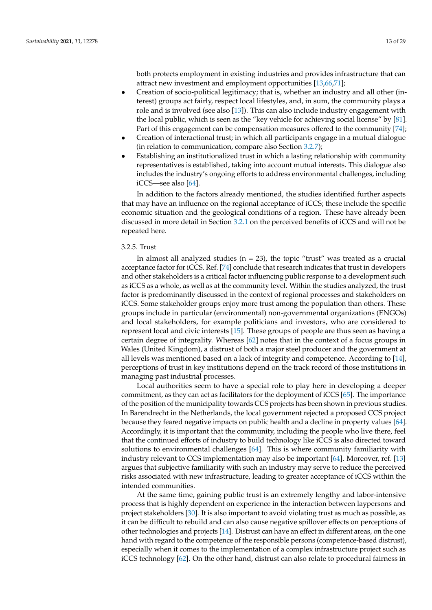both protects employment in existing industries and provides infrastructure that can attract new investment and employment opportunities [\[13](#page-25-10)[,66](#page-27-21)[,71\]](#page-27-19);

- Creation of socio-political legitimacy; that is, whether an industry and all other (interest) groups act fairly, respect local lifestyles, and, in sum, the community plays a role and is involved (see also [\[13\]](#page-25-10)). This can also include industry engagement with the local public, which is seen as the "key vehicle for achieving social license" by [\[81\]](#page-28-8). Part of this engagement can be compensation measures offered to the community [\[74\]](#page-28-2);
- Creation of interactional trust; in which all participants engage in a mutual dialogue (in relation to communication, compare also Section [3.2.7\)](#page-14-0);
- Establishing an institutionalized trust in which a lasting relationship with community representatives is established, taking into account mutual interests. This dialogue also includes the industry's ongoing efforts to address environmental challenges, including iCCS—see also [\[64\]](#page-27-13).

In addition to the factors already mentioned, the studies identified further aspects that may have an influence on the regional acceptance of iCCS; these include the specific economic situation and the geological conditions of a region. These have already been discussed in more detail in Section [3.2.1](#page-7-0) on the perceived benefits of iCCS and will not be repeated here.

## 3.2.5. Trust

In almost all analyzed studies ( $n = 23$ ), the topic "trust" was treated as a crucial acceptance factor for iCCS. Ref. [\[74\]](#page-28-2) conclude that research indicates that trust in developers and other stakeholders is a critical factor influencing public response to a development such as iCCS as a whole, as well as at the community level. Within the studies analyzed, the trust factor is predominantly discussed in the context of regional processes and stakeholders on iCCS. Some stakeholder groups enjoy more trust among the population than others. These groups include in particular (environmental) non-governmental organizations (ENGOs) and local stakeholders, for example politicians and investors, who are considered to represent local and civic interests [\[15\]](#page-25-12). These groups of people are thus seen as having a certain degree of integrality. Whereas [\[62\]](#page-27-22) notes that in the context of a focus groups in Wales (United Kingdom), a distrust of both a major steel producer and the government at all levels was mentioned based on a lack of integrity and competence. According to [\[14\]](#page-25-11), perceptions of trust in key institutions depend on the track record of those institutions in managing past industrial processes.

Local authorities seem to have a special role to play here in developing a deeper commitment, as they can act as facilitators for the deployment of iCCS [\[65\]](#page-27-14). The importance of the position of the municipality towards CCS projects has been shown in previous studies. In Barendrecht in the Netherlands, the local government rejected a proposed CCS project because they feared negative impacts on public health and a decline in property values [\[64\]](#page-27-13). Accordingly, it is important that the community, including the people who live there, feel that the continued efforts of industry to build technology like iCCS is also directed toward solutions to environmental challenges [\[64\]](#page-27-13). This is where community familiarity with industry relevant to CCS implementation may also be important [\[64\]](#page-27-13). Moreover, ref. [\[13\]](#page-25-10) argues that subjective familiarity with such an industry may serve to reduce the perceived risks associated with new infrastructure, leading to greater acceptance of iCCS within the intended communities.

At the same time, gaining public trust is an extremely lengthy and labor-intensive process that is highly dependent on experience in the interaction between laypersons and project stakeholders [\[30\]](#page-26-12). It is also important to avoid violating trust as much as possible, as it can be difficult to rebuild and can also cause negative spillover effects on perceptions of other technologies and projects [\[14\]](#page-25-11). Distrust can have an effect in different areas, on the one hand with regard to the competence of the responsible persons (competence-based distrust), especially when it comes to the implementation of a complex infrastructure project such as iCCS technology [\[62\]](#page-27-22). On the other hand, distrust can also relate to procedural fairness in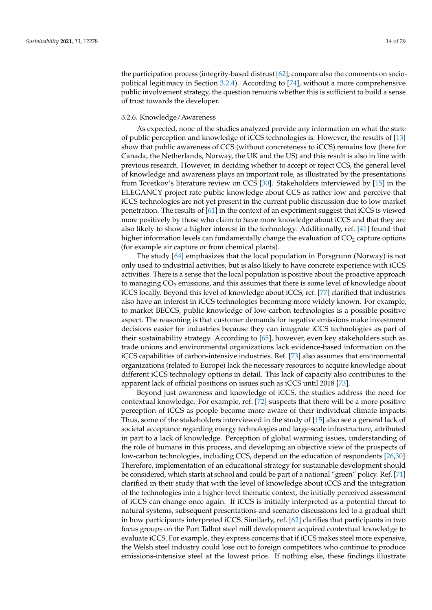the participation process (integrity-based distrust [\[62\]](#page-27-22); compare also the comments on sociopolitical legitimacy in Section [3.2.4\)](#page-11-0). According to [\[74\]](#page-28-2), without a more comprehensive public involvement strategy, the question remains whether this is sufficient to build a sense of trust towards the developer.

#### 3.2.6. Knowledge/Awareness

As expected, none of the studies analyzed provide any information on what the state of public perception and knowledge of iCCS technologies is. However, the results of [\[13\]](#page-25-10) show that public awareness of CCS (without concreteness to iCCS) remains low (here for Canada, the Netherlands, Norway, the UK and the US) and this result is also in line with previous research. However, in deciding whether to accept or reject CCS, the general level of knowledge and awareness plays an important role, as illustrated by the presentations from Tcvetkov's literature review on CCS [\[30\]](#page-26-12). Stakeholders interviewed by [\[15\]](#page-25-12) in the ELEGANCY project rate public knowledge about CCS as rather low and perceive that iCCS technologies are not yet present in the current public discussion due to low market penetration. The results of [\[61\]](#page-27-11) in the context of an experiment suggest that iCCS is viewed more positively by those who claim to have more knowledge about iCCS and that they are also likely to show a higher interest in the technology. Additionally, ref. [\[41\]](#page-26-19) found that higher information levels can fundamentally change the evaluation of  $CO<sub>2</sub>$  capture options (for example air capture or from chemical plants).

The study [\[64\]](#page-27-13) emphasizes that the local population in Porsgrunn (Norway) is not only used to industrial activities, but is also likely to have concrete experience with iCCS activities. There is a sense that the local population is positive about the proactive approach to managing  $CO<sub>2</sub>$  emissions, and this assumes that there is some level of knowledge about iCCS locally. Beyond this level of knowledge about iCCS, ref. [\[77\]](#page-28-5) clarified that industries also have an interest in iCCS technologies becoming more widely known. For example, to market BECCS, public knowledge of low-carbon technologies is a possible positive aspect. The reasoning is that customer demands for negative emissions make investment decisions easier for industries because they can integrate iCCS technologies as part of their sustainability strategy. According to [\[65\]](#page-27-14), however, even key stakeholders such as trade unions and environmental organizations lack evidence-based information on the iCCS capabilities of carbon-intensive industries. Ref. [\[73\]](#page-28-1) also assumes that environmental organizations (related to Europe) lack the necessary resources to acquire knowledge about different iCCS technology options in detail. This lack of capacity also contributes to the apparent lack of official positions on issues such as iCCS until 2018 [\[73\]](#page-28-1).

Beyond just awareness and knowledge of iCCS, the studies address the need for contextual knowledge. For example, ref. [\[72\]](#page-27-20) suspects that there will be a more positive perception of iCCS as people become more aware of their individual climate impacts. Thus, some of the stakeholders interviewed in the study of [\[15\]](#page-25-12) also see a general lack of societal acceptance regarding energy technologies and large-scale infrastructure, attributed in part to a lack of knowledge. Perception of global warming issues, understanding of the role of humans in this process, and developing an objective view of the prospects of low-carbon technologies, including CCS, depend on the education of respondents [\[26,](#page-26-8)[30\]](#page-26-12). Therefore, implementation of an educational strategy for sustainable development should be considered, which starts at school and could be part of a national "green" policy. Ref. [\[71\]](#page-27-19) clarified in their study that with the level of knowledge about iCCS and the integration of the technologies into a higher-level thematic context, the initially perceived assessment of iCCS can change once again. If iCCS is initially interpreted as a potential threat to natural systems, subsequent presentations and scenario discussions led to a gradual shift in how participants interpreted iCCS. Similarly, ref. [\[62\]](#page-27-22) clarifies that participants in two focus groups on the Port Talbot steel mill development acquired contextual knowledge to evaluate iCCS. For example, they express concerns that if iCCS makes steel more expensive, the Welsh steel industry could lose out to foreign competitors who continue to produce emissions-intensive steel at the lowest price. If nothing else, these findings illustrate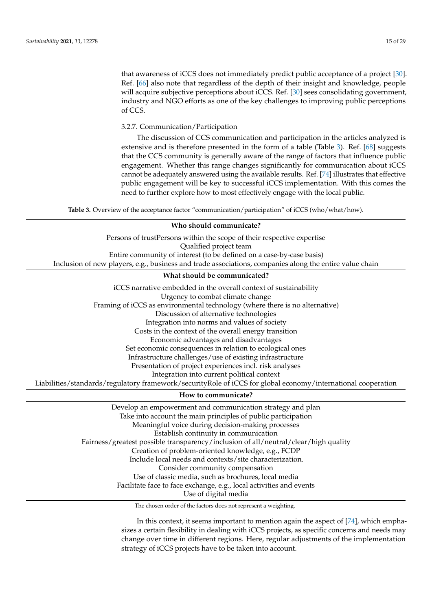that awareness of iCCS does not immediately predict public acceptance of a project [\[30\]](#page-26-12). Ref. [\[66\]](#page-27-21) also note that regardless of the depth of their insight and knowledge, people will acquire subjective perceptions about iCCS. Ref. [\[30\]](#page-26-12) sees consolidating government, industry and NGO efforts as one of the key challenges to improving public perceptions of CCS.

<span id="page-14-0"></span>3.2.7. Communication/Participation

The discussion of CCS communication and participation in the articles analyzed is extensive and is therefore presented in the form of a table (Table [3\)](#page-14-1). Ref. [\[68\]](#page-27-17) suggests that the CCS community is generally aware of the range of factors that influence public engagement. Whether this range changes significantly for communication about iCCS cannot be adequately answered using the available results. Ref. [\[74\]](#page-28-2) illustrates that effective public engagement will be key to successful iCCS implementation. With this comes the need to further explore how to most effectively engage with the local public.

**Table 3.** Overview of the acceptance factor "communication/participation" of iCCS (who/what/how).

<span id="page-14-1"></span>

| Who should communicate?                                                                                      |  |  |  |  |  |
|--------------------------------------------------------------------------------------------------------------|--|--|--|--|--|
| Persons of trustPersons within the scope of their respective expertise                                       |  |  |  |  |  |
| Qualified project team                                                                                       |  |  |  |  |  |
| Entire community of interest (to be defined on a case-by-case basis)                                         |  |  |  |  |  |
| Inclusion of new players, e.g., business and trade associations, companies along the entire value chain      |  |  |  |  |  |
| What should be communicated?                                                                                 |  |  |  |  |  |
| iCCS narrative embedded in the overall context of sustainability                                             |  |  |  |  |  |
| Urgency to combat climate change                                                                             |  |  |  |  |  |
| Framing of iCCS as environmental technology (where there is no alternative)                                  |  |  |  |  |  |
| Discussion of alternative technologies                                                                       |  |  |  |  |  |
| Integration into norms and values of society                                                                 |  |  |  |  |  |
| Costs in the context of the overall energy transition                                                        |  |  |  |  |  |
| Economic advantages and disadvantages                                                                        |  |  |  |  |  |
| Set economic consequences in relation to ecological ones                                                     |  |  |  |  |  |
| Infrastructure challenges/use of existing infrastructure                                                     |  |  |  |  |  |
| Presentation of project experiences incl. risk analyses                                                      |  |  |  |  |  |
| Integration into current political context                                                                   |  |  |  |  |  |
| Liabilities/standards/regulatory framework/securityRole of iCCS for global economy/international cooperation |  |  |  |  |  |
| How to communicate?                                                                                          |  |  |  |  |  |
| Develop an empowerment and communication strategy and plan                                                   |  |  |  |  |  |
| Take into account the main principles of public participation                                                |  |  |  |  |  |
| Meaningful voice during decision-making processes                                                            |  |  |  |  |  |
| Establish continuity in communication                                                                        |  |  |  |  |  |
| Fairness/greatest possible transparency/inclusion of all/neutral/clear/high quality                          |  |  |  |  |  |
| Creation of problem-oriented knowledge, e.g., FCDP                                                           |  |  |  |  |  |
| Include local needs and contexts/site characterization.                                                      |  |  |  |  |  |
| Consider community compensation                                                                              |  |  |  |  |  |
| Use of classic media, such as brochures, local media                                                         |  |  |  |  |  |
| Facilitate face to face exchange, e.g., local activities and events                                          |  |  |  |  |  |

Use of digital media

The chosen order of the factors does not represent a weighting.

In this context, it seems important to mention again the aspect of [\[74\]](#page-28-2), which emphasizes a certain flexibility in dealing with iCCS projects, as specific concerns and needs may change over time in different regions. Here, regular adjustments of the implementation strategy of iCCS projects have to be taken into account.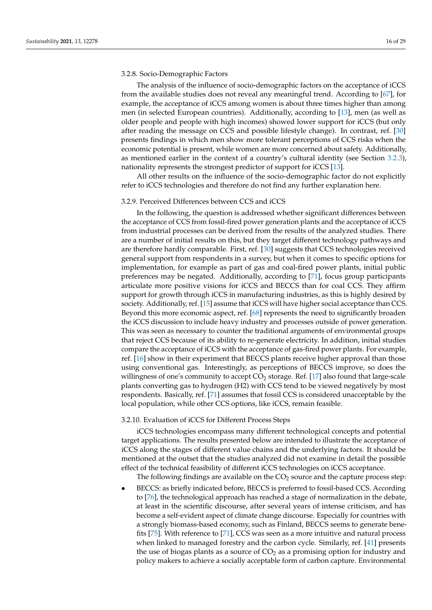# 3.2.8. Socio-Demographic Factors

The analysis of the influence of socio-demographic factors on the acceptance of iCCS from the available studies does not reveal any meaningful trend. According to [\[67\]](#page-27-15), for example, the acceptance of iCCS among women is about three times higher than among men (in selected European countries). Additionally, according to [\[13\]](#page-25-10), men (as well as older people and people with high incomes) showed lower support for iCCS (but only after reading the message on CCS and possible lifestyle change). In contrast, ref. [\[30\]](#page-26-12) presents findings in which men show more tolerant perceptions of CCS risks when the economic potential is present, while women are more concerned about safety. Additionally, as mentioned earlier in the context of a country's cultural identity (see Section [3.2.3\)](#page-10-0), nationality represents the strongest predictor of support for iCCS [\[13\]](#page-25-10).

All other results on the influence of the socio-demographic factor do not explicitly refer to iCCS technologies and therefore do not find any further explanation here.

# 3.2.9. Perceived Differences between CCS and iCCS

In the following, the question is addressed whether significant differences between the acceptance of CCS from fossil-fired power generation plants and the acceptance of iCCS from industrial processes can be derived from the results of the analyzed studies. There are a number of initial results on this, but they target different technology pathways and are therefore hardly comparable. First, ref. [\[30\]](#page-26-12) suggests that CCS technologies received general support from respondents in a survey, but when it comes to specific options for implementation, for example as part of gas and coal-fired power plants, initial public preferences may be negated. Additionally, according to [\[71\]](#page-27-19), focus group participants articulate more positive visions for iCCS and BECCS than for coal CCS. They affirm support for growth through iCCS in manufacturing industries, as this is highly desired by society. Additionally, ref. [\[15\]](#page-25-12) assume that iCCS will have higher social acceptance than CCS. Beyond this more economic aspect, ref. [\[68\]](#page-27-17) represents the need to significantly broaden the iCCS discussion to include heavy industry and processes outside of power generation. This was seen as necessary to counter the traditional arguments of environmental groups that reject CCS because of its ability to re-generate electricity. In addition, initial studies compare the acceptance of iCCS with the acceptance of gas-fired power plants. For example, ref. [\[16\]](#page-25-13) show in their experiment that BECCS plants receive higher approval than those using conventional gas. Interestingly, as perceptions of BECCS improve, so does the willingness of one's community to accept  $CO<sub>2</sub>$  storage. Ref. [\[17\]](#page-26-0) also found that large-scale plants converting gas to hydrogen (H2) with CCS tend to be viewed negatively by most respondents. Basically, ref. [\[71\]](#page-27-19) assumes that fossil CCS is considered unacceptable by the local population, while other CCS options, like iCCS, remain feasible.

#### 3.2.10. Evaluation of iCCS for Different Process Steps

iCCS technologies encompass many different technological concepts and potential target applications. The results presented below are intended to illustrate the acceptance of iCCS along the stages of different value chains and the underlying factors. It should be mentioned at the outset that the studies analyzed did not examine in detail the possible effect of the technical feasibility of different iCCS technologies on iCCS acceptance.

The following findings are available on the  $CO<sub>2</sub>$  source and the capture process step:

• BECCS: as briefly indicated before, BECCS is preferred to fossil-based CCS. According to [\[76\]](#page-28-4), the technological approach has reached a stage of normalization in the debate, at least in the scientific discourse, after several years of intense criticism, and has become a self-evident aspect of climate change discourse. Especially for countries with a strongly biomass-based economy, such as Finland, BECCS seems to generate benefits [\[75\]](#page-28-3). With reference to [\[71\]](#page-27-19), CCS was seen as a more intuitive and natural process when linked to managed forestry and the carbon cycle. Similarly, ref. [\[41\]](#page-26-19) presents the use of biogas plants as a source of  $CO<sub>2</sub>$  as a promising option for industry and policy makers to achieve a socially acceptable form of carbon capture. Environmental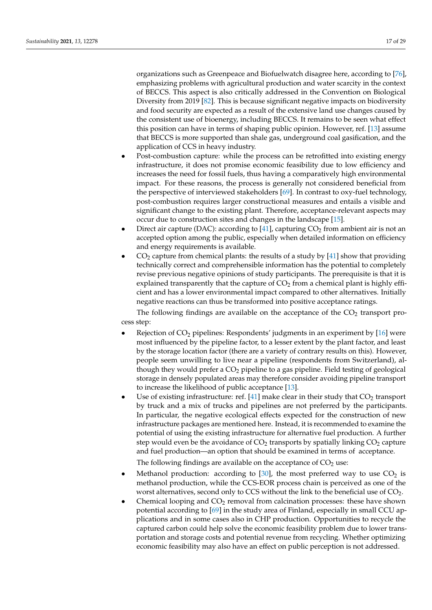organizations such as Greenpeace and Biofuelwatch disagree here, according to [\[76\]](#page-28-4), emphasizing problems with agricultural production and water scarcity in the context of BECCS. This aspect is also critically addressed in the Convention on Biological Diversity from 2019 [\[82\]](#page-28-9). This is because significant negative impacts on biodiversity and food security are expected as a result of the extensive land use changes caused by the consistent use of bioenergy, including BECCS. It remains to be seen what effect this position can have in terms of shaping public opinion. However, ref. [\[13\]](#page-25-10) assume that BECCS is more supported than shale gas, underground coal gasification, and the application of CCS in heavy industry.

- Post-combustion capture: while the process can be retrofitted into existing energy infrastructure, it does not promise economic feasibility due to low efficiency and increases the need for fossil fuels, thus having a comparatively high environmental impact. For these reasons, the process is generally not considered beneficial from the perspective of interviewed stakeholders [\[69\]](#page-27-16). In contrast to oxy-fuel technology, post-combustion requires larger constructional measures and entails a visible and significant change to the existing plant. Therefore, acceptance-relevant aspects may occur due to construction sites and changes in the landscape [\[15\]](#page-25-12).
- Direct air capture (DAC): according to [\[41\]](#page-26-19), capturing  $CO<sub>2</sub>$  from ambient air is not an accepted option among the public, especially when detailed information on efficiency and energy requirements is available.
- $CO<sub>2</sub>$  capture from chemical plants: the results of a study by [\[41\]](#page-26-19) show that providing technically correct and comprehensible information has the potential to completely revise previous negative opinions of study participants. The prerequisite is that it is explained transparently that the capture of  $CO<sub>2</sub>$  from a chemical plant is highly efficient and has a lower environmental impact compared to other alternatives. Initially negative reactions can thus be transformed into positive acceptance ratings.

The following findings are available on the acceptance of the  $CO<sub>2</sub>$  transport process step:

- Rejection of  $CO<sub>2</sub>$  pipelines: Respondents' judgments in an experiment by [\[16\]](#page-25-13) were most influenced by the pipeline factor, to a lesser extent by the plant factor, and least by the storage location factor (there are a variety of contrary results on this). However, people seem unwilling to live near a pipeline (respondents from Switzerland), although they would prefer a  $CO<sub>2</sub>$  pipeline to a gas pipeline. Field testing of geological storage in densely populated areas may therefore consider avoiding pipeline transport to increase the likelihood of public acceptance [\[13\]](#page-25-10).
- Use of existing infrastructure: ref.  $[41]$  make clear in their study that  $CO<sub>2</sub>$  transport by truck and a mix of trucks and pipelines are not preferred by the participants. In particular, the negative ecological effects expected for the construction of new infrastructure packages are mentioned here. Instead, it is recommended to examine the potential of using the existing infrastructure for alternative fuel production. A further step would even be the avoidance of  $CO<sub>2</sub>$  transports by spatially linking  $CO<sub>2</sub>$  capture and fuel production—an option that should be examined in terms of acceptance.

The following findings are available on the acceptance of  $CO<sub>2</sub>$  use:

- Methanol production: according to  $[30]$ , the most preferred way to use  $CO<sub>2</sub>$  is methanol production, while the CCS-EOR process chain is perceived as one of the worst alternatives, second only to CCS without the link to the beneficial use of  $CO<sub>2</sub>$ .
- Chemical looping and  $CO<sub>2</sub>$  removal from calcination processes: these have shown potential according to [\[69\]](#page-27-16) in the study area of Finland, especially in small CCU applications and in some cases also in CHP production. Opportunities to recycle the captured carbon could help solve the economic feasibility problem due to lower transportation and storage costs and potential revenue from recycling. Whether optimizing economic feasibility may also have an effect on public perception is not addressed.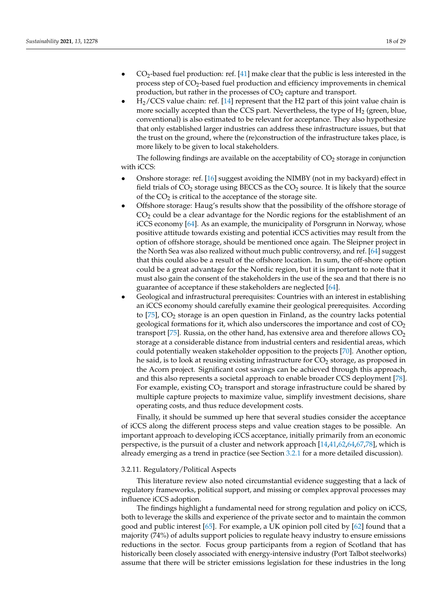- $CO<sub>2</sub>$ -based fuel production: ref. [\[41\]](#page-26-19) make clear that the public is less interested in the process step of CO<sub>2</sub>-based fuel production and efficiency improvements in chemical production, but rather in the processes of  $CO<sub>2</sub>$  capture and transport.
- $H<sub>2</sub>/CCS$  value chain: ref. [\[14\]](#page-25-11) represent that the H2 part of this joint value chain is more socially accepted than the CCS part. Nevertheless, the type of  $H_2$  (green, blue, conventional) is also estimated to be relevant for acceptance. They also hypothesize that only established larger industries can address these infrastructure issues, but that the trust on the ground, where the (re)construction of the infrastructure takes place, is more likely to be given to local stakeholders.

The following findings are available on the acceptability of  $CO<sub>2</sub>$  storage in conjunction with iCCS:

- Onshore storage: ref. [\[16\]](#page-25-13) suggest avoiding the NIMBY (not in my backyard) effect in field trials of  $CO<sub>2</sub>$  storage using BECCS as the  $CO<sub>2</sub>$  source. It is likely that the source of the  $CO<sub>2</sub>$  is critical to the acceptance of the storage site.
- Offshore storage: Haug's results show that the possibility of the offshore storage of  $CO<sub>2</sub>$  could be a clear advantage for the Nordic regions for the establishment of an iCCS economy [\[64\]](#page-27-13). As an example, the municipality of Porsgrunn in Norway, whose positive attitude towards existing and potential iCCS activities may result from the option of offshore storage, should be mentioned once again. The Sleipner project in the North Sea was also realized without much public controversy, and ref. [\[64\]](#page-27-13) suggest that this could also be a result of the offshore location. In sum, the off-shore option could be a great advantage for the Nordic region, but it is important to note that it must also gain the consent of the stakeholders in the use of the sea and that there is no guarantee of acceptance if these stakeholders are neglected [\[64\]](#page-27-13).
- Geological and infrastructural prerequisites: Countries with an interest in establishing an iCCS economy should carefully examine their geological prerequisites. According to  $[75]$ ,  $CO<sub>2</sub>$  storage is an open question in Finland, as the country lacks potential geological formations for it, which also underscores the importance and cost of  $CO<sub>2</sub>$ transport [\[75\]](#page-28-3). Russia, on the other hand, has extensive area and therefore allows  $CO<sub>2</sub>$ storage at a considerable distance from industrial centers and residential areas, which could potentially weaken stakeholder opposition to the projects [\[70\]](#page-27-18). Another option, he said, is to look at reusing existing infrastructure for  $CO<sub>2</sub>$  storage, as proposed in the Acorn project. Significant cost savings can be achieved through this approach, and this also represents a societal approach to enable broader CCS deployment [\[78\]](#page-28-0). For example, existing  $CO<sub>2</sub>$  transport and storage infrastructure could be shared by multiple capture projects to maximize value, simplify investment decisions, share operating costs, and thus reduce development costs.

Finally, it should be summed up here that several studies consider the acceptance of iCCS along the different process steps and value creation stages to be possible. An important approach to developing iCCS acceptance, initially primarily from an economic perspective, is the pursuit of a cluster and network approach [\[14,](#page-25-11)[41,](#page-26-19)[62](#page-27-22)[,64](#page-27-13)[,67](#page-27-15)[,78\]](#page-28-0), which is already emerging as a trend in practice (see Section [3.2.1](#page-7-0) for a more detailed discussion).

#### <span id="page-17-0"></span>3.2.11. Regulatory/Political Aspects

This literature review also noted circumstantial evidence suggesting that a lack of regulatory frameworks, political support, and missing or complex approval processes may influence iCCS adoption.

The findings highlight a fundamental need for strong regulation and policy on iCCS, both to leverage the skills and experience of the private sector and to maintain the common good and public interest [\[65\]](#page-27-14). For example, a UK opinion poll cited by [\[62\]](#page-27-22) found that a majority (74%) of adults support policies to regulate heavy industry to ensure emissions reductions in the sector. Focus group participants from a region of Scotland that has historically been closely associated with energy-intensive industry (Port Talbot steelworks) assume that there will be stricter emissions legislation for these industries in the long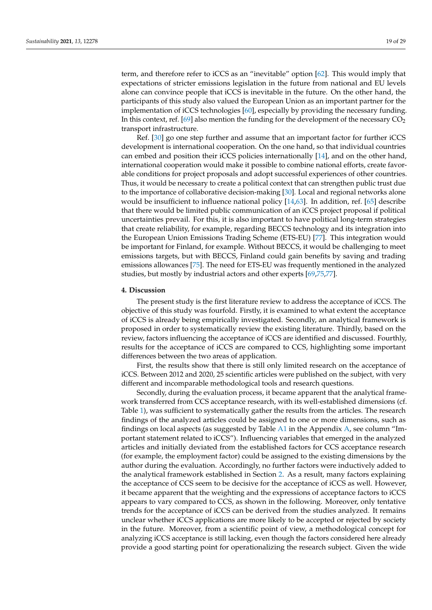term, and therefore refer to iCCS as an "inevitable" option [\[62\]](#page-27-22). This would imply that expectations of stricter emissions legislation in the future from national and EU levels alone can convince people that iCCS is inevitable in the future. On the other hand, the participants of this study also valued the European Union as an important partner for the implementation of iCCS technologies [\[60\]](#page-27-10), especially by providing the necessary funding. In this context, ref. [\[69\]](#page-27-16) also mention the funding for the development of the necessary  $CO<sub>2</sub>$ transport infrastructure.

Ref. [\[30\]](#page-26-12) go one step further and assume that an important factor for further iCCS development is international cooperation. On the one hand, so that individual countries can embed and position their iCCS policies internationally [\[14\]](#page-25-11), and on the other hand, international cooperation would make it possible to combine national efforts, create favorable conditions for project proposals and adopt successful experiences of other countries. Thus, it would be necessary to create a political context that can strengthen public trust due to the importance of collaborative decision-making [\[30\]](#page-26-12). Local and regional networks alone would be insufficient to influence national policy [\[14,](#page-25-11)[63\]](#page-27-12). In addition, ref. [\[65\]](#page-27-14) describe that there would be limited public communication of an iCCS project proposal if political uncertainties prevail. For this, it is also important to have political long-term strategies that create reliability, for example, regarding BECCS technology and its integration into the European Union Emissions Trading Scheme (ETS-EU) [\[77\]](#page-28-5). This integration would be important for Finland, for example. Without BECCS, it would be challenging to meet emissions targets, but with BECCS, Finland could gain benefits by saving and trading emissions allowances [\[75\]](#page-28-3). The need for ETS-EU was frequently mentioned in the analyzed studies, but mostly by industrial actors and other experts [\[69,](#page-27-16)[75,](#page-28-3)[77\]](#page-28-5).

# <span id="page-18-0"></span>**4. Discussion**

The present study is the first literature review to address the acceptance of iCCS. The objective of this study was fourfold. Firstly, it is examined to what extent the acceptance of iCCS is already being empirically investigated. Secondly, an analytical framework is proposed in order to systematically review the existing literature. Thirdly, based on the review, factors influencing the acceptance of iCCS are identified and discussed. Fourthly, results for the acceptance of iCCS are compared to CCS, highlighting some important differences between the two areas of application.

First, the results show that there is still only limited research on the acceptance of iCCS. Between 2012 and 2020, 25 scientific articles were published on the subject, with very different and incomparable methodological tools and research questions.

Secondly, during the evaluation process, it became apparent that the analytical framework transferred from CCS acceptance research, with its well-established dimensions (cf. Table [1\)](#page-5-1), was sufficient to systematically gather the results from the articles. The research findings of the analyzed articles could be assigned to one or more dimensions, such as findings on local aspects (as suggested by Table [A1](#page-25-16) in the Appendix [A,](#page-21-0) see column "Important statement related to iCCS"). Influencing variables that emerged in the analyzed articles and initially deviated from the established factors for CCS acceptance research (for example, the employment factor) could be assigned to the existing dimensions by the author during the evaluation. Accordingly, no further factors were inductively added to the analytical framework established in Section [2.](#page-2-0) As a result, many factors explaining the acceptance of CCS seem to be decisive for the acceptance of iCCS as well. However, it became apparent that the weighting and the expressions of acceptance factors to iCCS appears to vary compared to CCS, as shown in the following. Moreover, only tentative trends for the acceptance of iCCS can be derived from the studies analyzed. It remains unclear whether iCCS applications are more likely to be accepted or rejected by society in the future. Moreover, from a scientific point of view, a methodological concept for analyzing iCCS acceptance is still lacking, even though the factors considered here already provide a good starting point for operationalizing the research subject. Given the wide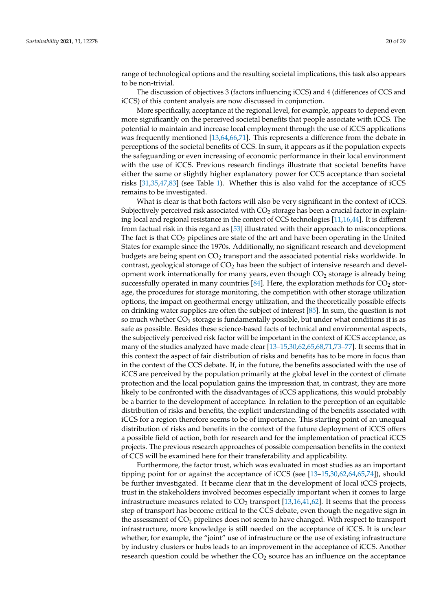range of technological options and the resulting societal implications, this task also appears to be non-trivial.

The discussion of objectives 3 (factors influencing iCCS) and 4 (differences of CCS and iCCS) of this content analysis are now discussed in conjunction.

More specifically, acceptance at the regional level, for example, appears to depend even more significantly on the perceived societal benefits that people associate with iCCS. The potential to maintain and increase local employment through the use of iCCS applications was frequently mentioned [\[13](#page-25-10)[,64](#page-27-13)[,66,](#page-27-21)[71\]](#page-27-19). This represents a difference from the debate in perceptions of the societal benefits of CCS. In sum, it appears as if the population expects the safeguarding or even increasing of economic performance in their local environment with the use of iCCS. Previous research findings illustrate that societal benefits have either the same or slightly higher explanatory power for CCS acceptance than societal risks [\[31](#page-26-13)[,35](#page-26-16)[,47](#page-27-1)[,83\]](#page-28-10) (see Table [1\)](#page-5-1). Whether this is also valid for the acceptance of iCCS remains to be investigated.

What is clear is that both factors will also be very significant in the context of iCCS. Subjectively perceived risk associated with  $CO<sub>2</sub>$  storage has been a crucial factor in explaining local and regional resistance in the context of CCS technologies [\[11](#page-25-8)[,16,](#page-25-13)[44\]](#page-26-23). It is different from factual risk in this regard as [\[53\]](#page-27-6) illustrated with their approach to misconceptions. The fact is that  $CO<sub>2</sub>$  pipelines are state of the art and have been operating in the United States for example since the 1970s. Additionally, no significant research and development budgets are being spent on  $CO<sub>2</sub>$  transport and the associated potential risks worldwide. In contrast, geological storage of  $CO<sub>2</sub>$  has been the subject of intensive research and development work internationally for many years, even though  $CO<sub>2</sub>$  storage is already being successfully operated in many countries  $[84]$ . Here, the exploration methods for  $CO<sub>2</sub>$  storage, the procedures for storage monitoring, the competition with other storage utilization options, the impact on geothermal energy utilization, and the theoretically possible effects on drinking water supplies are often the subject of interest [\[85\]](#page-28-12). In sum, the question is not so much whether  $CO<sub>2</sub>$  storage is fundamentally possible, but under what conditions it is as safe as possible. Besides these science-based facts of technical and environmental aspects, the subjectively perceived risk factor will be important in the context of iCCS acceptance, as many of the studies analyzed have made clear [\[13](#page-25-10)[–15,](#page-25-12)[30,](#page-26-12)[62](#page-27-22)[,65](#page-27-14)[,68,](#page-27-17)[71,](#page-27-19)[73](#page-28-1)[–77\]](#page-28-5). It seems that in this context the aspect of fair distribution of risks and benefits has to be more in focus than in the context of the CCS debate. If, in the future, the benefits associated with the use of iCCS are perceived by the population primarily at the global level in the context of climate protection and the local population gains the impression that, in contrast, they are more likely to be confronted with the disadvantages of iCCS applications, this would probably be a barrier to the development of acceptance. In relation to the perception of an equitable distribution of risks and benefits, the explicit understanding of the benefits associated with iCCS for a region therefore seems to be of importance. This starting point of an unequal distribution of risks and benefits in the context of the future deployment of iCCS offers a possible field of action, both for research and for the implementation of practical iCCS projects. The previous research approaches of possible compensation benefits in the context of CCS will be examined here for their transferability and applicability.

Furthermore, the factor trust, which was evaluated in most studies as an important tipping point for or against the acceptance of iCCS (see [\[13–](#page-25-10)[15](#page-25-12)[,30](#page-26-12)[,62](#page-27-22)[,64](#page-27-13)[,65](#page-27-14)[,74\]](#page-28-2)), should be further investigated. It became clear that in the development of local iCCS projects, trust in the stakeholders involved becomes especially important when it comes to large infrastructure measures related to  $CO<sub>2</sub>$  transport [\[13,](#page-25-10)[16](#page-25-13)[,41,](#page-26-19)[62\]](#page-27-22). It seems that the process step of transport has become critical to the CCS debate, even though the negative sign in the assessment of  $CO<sub>2</sub>$  pipelines does not seem to have changed. With respect to transport infrastructure, more knowledge is still needed on the acceptance of iCCS. It is unclear whether, for example, the "joint" use of infrastructure or the use of existing infrastructure by industry clusters or hubs leads to an improvement in the acceptance of iCCS. Another research question could be whether the  $CO<sub>2</sub>$  source has an influence on the acceptance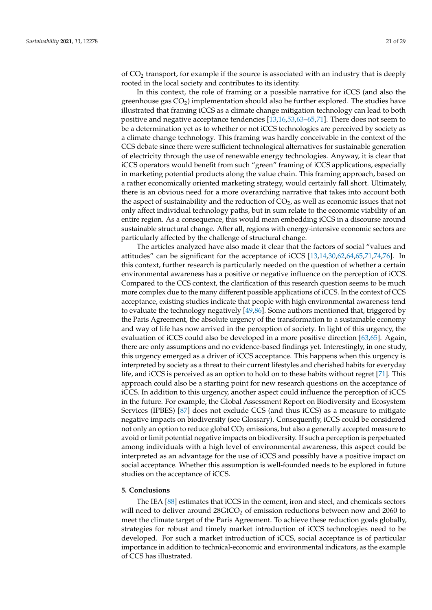of CO<sup>2</sup> transport, for example if the source is associated with an industry that is deeply rooted in the local society and contributes to its identity.

In this context, the role of framing or a possible narrative for iCCS (and also the greenhouse gas  $CO<sub>2</sub>$ ) implementation should also be further explored. The studies have illustrated that framing iCCS as a climate change mitigation technology can lead to both positive and negative acceptance tendencies [\[13,](#page-25-10)[16,](#page-25-13)[53,](#page-27-6)[63–](#page-27-12)[65,](#page-27-14)[71\]](#page-27-19). There does not seem to be a determination yet as to whether or not iCCS technologies are perceived by society as a climate change technology. This framing was hardly conceivable in the context of the CCS debate since there were sufficient technological alternatives for sustainable generation of electricity through the use of renewable energy technologies. Anyway, it is clear that iCCS operators would benefit from such "green" framing of iCCS applications, especially in marketing potential products along the value chain. This framing approach, based on a rather economically oriented marketing strategy, would certainly fall short. Ultimately, there is an obvious need for a more overarching narrative that takes into account both the aspect of sustainability and the reduction of  $CO<sub>2</sub>$ , as well as economic issues that not only affect individual technology paths, but in sum relate to the economic viability of an entire region. As a consequence, this would mean embedding iCCS in a discourse around sustainable structural change. After all, regions with energy-intensive economic sectors are particularly affected by the challenge of structural change.

The articles analyzed have also made it clear that the factors of social "values and attitudes" can be significant for the acceptance of iCCS [\[13,](#page-25-10)[14,](#page-25-11)[30,](#page-26-12)[62,](#page-27-22)[64,](#page-27-13)[65,](#page-27-14)[71,](#page-27-19)[74,](#page-28-2)[76\]](#page-28-4). In this context, further research is particularly needed on the question of whether a certain environmental awareness has a positive or negative influence on the perception of iCCS. Compared to the CCS context, the clarification of this research question seems to be much more complex due to the many different possible applications of iCCS. In the context of CCS acceptance, existing studies indicate that people with high environmental awareness tend to evaluate the technology negatively [\[49](#page-27-3)[,86\]](#page-28-13). Some authors mentioned that, triggered by the Paris Agreement, the absolute urgency of the transformation to a sustainable economy and way of life has now arrived in the perception of society. In light of this urgency, the evaluation of iCCS could also be developed in a more positive direction [\[63](#page-27-12)[,65\]](#page-27-14). Again, there are only assumptions and no evidence-based findings yet. Interestingly, in one study, this urgency emerged as a driver of iCCS acceptance. This happens when this urgency is interpreted by society as a threat to their current lifestyles and cherished habits for everyday life, and iCCS is perceived as an option to hold on to these habits without regret [\[71\]](#page-27-19). This approach could also be a starting point for new research questions on the acceptance of iCCS. In addition to this urgency, another aspect could influence the perception of iCCS in the future. For example, the Global Assessment Report on Biodiversity and Ecosystem Services (IPBES) [\[87\]](#page-28-14) does not exclude CCS (and thus iCCS) as a measure to mitigate negative impacts on biodiversity (see Glossary). Consequently, iCCS could be considered not only an option to reduce global  $CO<sub>2</sub>$  emissions, but also a generally accepted measure to avoid or limit potential negative impacts on biodiversity. If such a perception is perpetuated among individuals with a high level of environmental awareness, this aspect could be interpreted as an advantage for the use of iCCS and possibly have a positive impact on social acceptance. Whether this assumption is well-founded needs to be explored in future studies on the acceptance of iCCS.

# <span id="page-20-0"></span>**5. Conclusions**

The IEA [\[88\]](#page-28-15) estimates that iCCS in the cement, iron and steel, and chemicals sectors will need to deliver around  $28GtCO<sub>2</sub>$  of emission reductions between now and 2060 to meet the climate target of the Paris Agreement. To achieve these reduction goals globally, strategies for robust and timely market introduction of iCCS technologies need to be developed. For such a market introduction of iCCS, social acceptance is of particular importance in addition to technical-economic and environmental indicators, as the example of CCS has illustrated.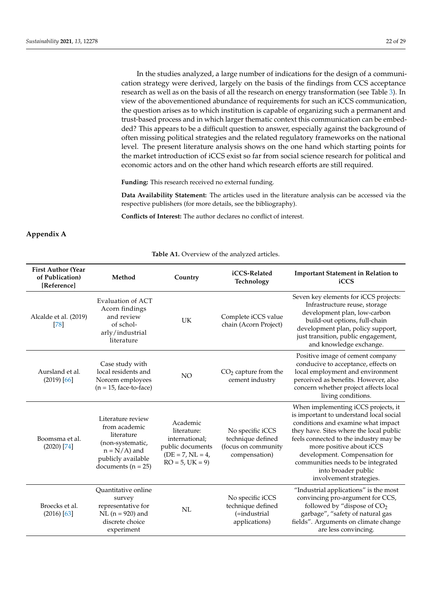In the studies analyzed, a large number of indications for the design of a communication strategy were derived, largely on the basis of the findings from CCS acceptance research as well as on the basis of all the research on energy transformation (see Table [3\)](#page-14-1). In view of the abovementioned abundance of requirements for such an iCCS communication, the question arises as to which institution is capable of organizing such a permanent and trust-based process and in which larger thematic context this communication can be embedded? This appears to be a difficult question to answer, especially against the background of often missing political strategies and the related regulatory frameworks on the national level. The present literature analysis shows on the one hand which starting points for the market introduction of iCCS exist so far from social science research for political and economic actors and on the other hand which research efforts are still required.

**Funding:** This research received no external funding.

**Data Availability Statement:** The articles used in the literature analysis can be accessed via the respective publishers (for more details, see the bibliography).

**Conflicts of Interest:** The author declares no conflict of interest.

# <span id="page-21-0"></span>**Appendix A**

**Table A1.** Overview of the analyzed articles.

| <b>First Author (Year</b><br>of Publication)<br>[Reference] | Method                                                                                                                                  | Country                                                                                                      | iCCS-Related<br>Technology                                                    | <b>Important Statement in Relation to</b><br>iCCS                                                                                                                                                                                                                                                                                                              |
|-------------------------------------------------------------|-----------------------------------------------------------------------------------------------------------------------------------------|--------------------------------------------------------------------------------------------------------------|-------------------------------------------------------------------------------|----------------------------------------------------------------------------------------------------------------------------------------------------------------------------------------------------------------------------------------------------------------------------------------------------------------------------------------------------------------|
| Alcalde et al. (2019)<br>[78]                               | Evaluation of ACT<br>Acorn findings<br>and review<br>of schol-<br>arly/industrial<br>literature                                         | UK                                                                                                           | Complete iCCS value<br>chain (Acorn Project)                                  | Seven key elements for iCCS projects:<br>Infrastructure reuse, storage<br>development plan, low-carbon<br>build-out options, full-chain<br>development plan, policy support,<br>just transition, public engagement,<br>and knowledge exchange.                                                                                                                 |
| Aursland et al.<br>(2019) [66]                              | Case study with<br>local residents and<br>Norcem employees<br>$(n = 15, face-to-face)$                                                  | NO <sub>1</sub>                                                                                              | $CO2$ capture from the<br>cement industry                                     | Positive image of cement company<br>conducive to acceptance, effects on<br>local employment and environment<br>perceived as benefits. However, also<br>concern whether project affects local<br>living conditions.                                                                                                                                             |
| Boomsma et al.<br>$(2020)$ [74]                             | Literature review<br>from academic<br>literature<br>(non-systematic,<br>$n = N/A$ ) and<br>publicly available<br>documents ( $n = 25$ ) | Academic<br>literature:<br>international;<br>public documents<br>$(DE = 7, NL = 4, )$<br>$RO = 5$ , $UK = 9$ | No specific iCCS<br>technique defined<br>(focus on community<br>compensation) | When implementing iCCS projects, it<br>is important to understand local social<br>conditions and examine what impact<br>they have. Sites where the local public<br>feels connected to the industry may be<br>more positive about iCCS<br>development. Compensation for<br>communities needs to be integrated<br>into broader public<br>involvement strategies. |
| Broecks et al.<br>$(2016)$ [63]                             | Quantitative online<br>survey<br>representative for<br>$NL (n = 920)$ and<br>discrete choice<br>experiment                              | NL                                                                                                           | No specific iCCS<br>technique defined<br>(=industrial<br>applications)        | "Industrial applications" is the most<br>convincing pro-argument for CCS,<br>followed by "dispose of CO <sub>2</sub><br>garbage", "safety of natural gas<br>fields". Arguments on climate change<br>are less convincing.                                                                                                                                       |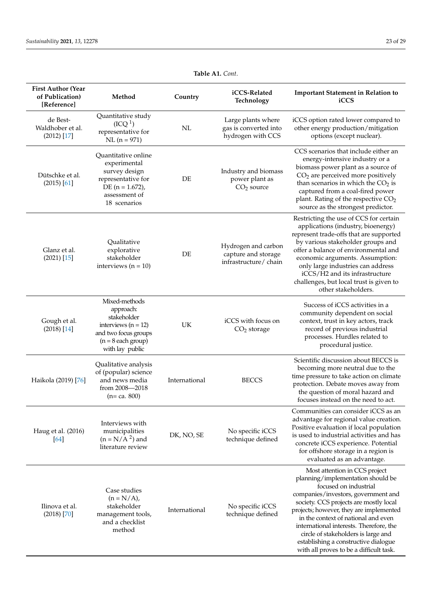| <b>First Author (Year</b><br>of Publication)<br>[Reference] | Method                                                                                                                                  | Country       | iCCS-Related<br>Technology                                         | <b>Important Statement in Relation to</b><br>iCCS                                                                                                                                                                                                                                                                                                                                                                                   |
|-------------------------------------------------------------|-----------------------------------------------------------------------------------------------------------------------------------------|---------------|--------------------------------------------------------------------|-------------------------------------------------------------------------------------------------------------------------------------------------------------------------------------------------------------------------------------------------------------------------------------------------------------------------------------------------------------------------------------------------------------------------------------|
| de Best-<br>Waldhober et al.<br>$(2012)$ [17]               | Quantitative study<br>(ICQ <sup>1</sup> )<br>representative for<br>$NL (n = 971)$                                                       | NL            | Large plants where<br>gas is converted into<br>hydrogen with CCS   | iCCS option rated lower compared to<br>other energy production/mitigation<br>options (except nuclear).                                                                                                                                                                                                                                                                                                                              |
| Dütschke et al.<br>(2015) [61]                              | Quantitative online<br>experimental<br>survey design<br>representative for<br>DE $(n = 1.672)$ ,<br>assessment of<br>18 scenarios       | DE            | Industry and biomass<br>power plant as<br>CO <sub>2</sub> source   | CCS scenarios that include either an<br>energy-intensive industry or a<br>biomass power plant as a source of<br>$CO2$ are perceived more positively<br>than scenarios in which the $CO2$ is<br>captured from a coal-fired power<br>plant. Rating of the respective CO <sub>2</sub><br>source as the strongest predictor.                                                                                                            |
| Glanz et al.<br>$(2021)$ [15]                               | Qualitative<br>explorative<br>stakeholder<br>interviews $(n = 10)$                                                                      | DE            | Hydrogen and carbon<br>capture and storage<br>infrastructure/chain | Restricting the use of CCS for certain<br>applications (industry, bioenergy)<br>represent trade-offs that are supported<br>by various stakeholder groups and<br>offer a balance of environmental and<br>economic arguments. Assumption:<br>only large industries can address<br>iCCS/H2 and its infrastructure<br>challenges, but local trust is given to<br>other stakeholders.                                                    |
| Gough et al.<br>$(2018)$ [14]                               | Mixed-methods<br>approach:<br>stakeholder<br>interviews ( $n = 12$ )<br>and two focus groups<br>$(n = 8$ each group)<br>with lay public | UK            | iCCS with focus on<br>$CO2$ storage                                | Success of iCCS activities in a<br>community dependent on social<br>context, trust in key actors, track<br>record of previous industrial<br>processes. Hurdles related to<br>procedural justice.                                                                                                                                                                                                                                    |
| Haikola (2019) [76]                                         | Qualitative analysis<br>of (popular) science<br>and news media<br>from 2008-2018<br>$(n=ca. 800)$                                       | International | <b>BECCS</b>                                                       | Scientific discussion about BECCS is<br>becoming more neutral due to the<br>time pressure to take action on climate<br>protection. Debate moves away from<br>the question of moral hazard and<br>focuses instead on the need to act.                                                                                                                                                                                                |
| Haug et al. (2016)<br>[64]                                  | Interviews with<br>municipalities<br>$(n = N/A2)$ and<br>literature review                                                              | DK, NO, SE    | No specific iCCS<br>technique defined                              | Communities can consider iCCS as an<br>advantage for regional value creation.<br>Positive evaluation if local population<br>is used to industrial activities and has<br>concrete iCCS experience. Potential<br>for offshore storage in a region is<br>evaluated as an advantage.                                                                                                                                                    |
| Ilinova et al.<br>$(2018)$ [70]                             | Case studies<br>$(n = N/A)$ ,<br>stakeholder<br>management tools,<br>and a checklist<br>method                                          | International | No specific iCCS<br>technique defined                              | Most attention in CCS project<br>planning/implementation should be<br>focused on industrial<br>companies/investors, government and<br>society. CCS projects are mostly local<br>projects; however, they are implemented<br>in the context of national and even<br>international interests. Therefore, the<br>circle of stakeholders is large and<br>establishing a constructive dialogue<br>with all proves to be a difficult task. |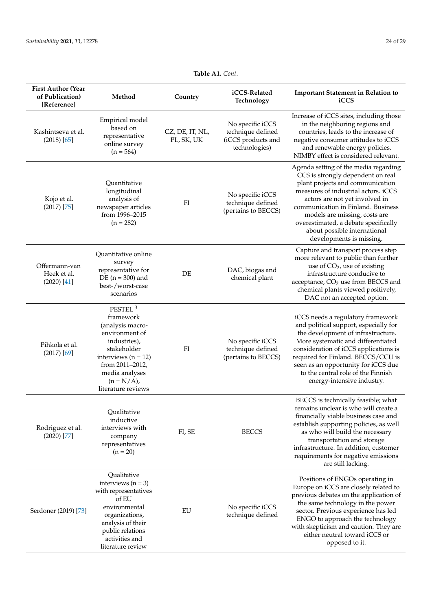| <b>First Author (Year</b><br>of Publication)<br>[Reference] | Method                                                                                                                                                                                                       | Country                       | iCCS-Related<br>Technology                                                   | <b>Important Statement in Relation to</b><br>iCCS                                                                                                                                                                                                                                                                                                                  |
|-------------------------------------------------------------|--------------------------------------------------------------------------------------------------------------------------------------------------------------------------------------------------------------|-------------------------------|------------------------------------------------------------------------------|--------------------------------------------------------------------------------------------------------------------------------------------------------------------------------------------------------------------------------------------------------------------------------------------------------------------------------------------------------------------|
| Kashintseva et al.<br>$(2018)$ [65]                         | Empirical model<br>based on<br>representative<br>online survey<br>$(n = 564)$                                                                                                                                | CZ, DE, IT, NL,<br>PL, SK, UK | No specific iCCS<br>technique defined<br>(iCCS products and<br>technologies) | Increase of iCCS sites, including those<br>in the neighboring regions and<br>countries, leads to the increase of<br>negative consumer attitudes to iCCS<br>and renewable energy policies.<br>NIMBY effect is considered relevant.                                                                                                                                  |
| Kojo et al.<br>$(2017)$ [75]                                | Quantitative<br>longitudinal<br>analysis of<br>newspaper articles<br>from 1996-2015<br>$(n = 282)$                                                                                                           | FI                            | No specific iCCS<br>technique defined<br>(pertains to BECCS)                 | Agenda setting of the media regarding<br>CCS is strongly dependent on real<br>plant projects and communication<br>measures of industrial actors. iCCS<br>actors are not yet involved in<br>communication in Finland. Business<br>models are missing, costs are<br>overestimated, a debate specifically<br>about possible international<br>developments is missing. |
| Offermann-van<br>Heek et al.<br>$(2020)$ [41]               | Quantitative online<br>survey<br>representative for<br>DE ( $n = 300$ ) and<br>best-/worst-case<br>scenarios                                                                                                 | DE                            | DAC, biogas and<br>chemical plant                                            | Capture and transport process step<br>more relevant to public than further<br>use of $CO2$ , use of existing<br>infrastructure conducive to<br>acceptance, CO <sub>2</sub> use from BECCS and<br>chemical plants viewed positively,<br>DAC not an accepted option.                                                                                                 |
| Pihkola et al.<br>$(2017)$ [69]                             | PESTEL <sup>3</sup><br>framework<br>(analysis macro-<br>environment of<br>industries),<br>stakeholder<br>interviews ( $n = 12$ )<br>from 2011-2012,<br>media analyses<br>$(n = N/A)$ ,<br>literature reviews | FI                            | No specific iCCS<br>technique defined<br>(pertains to BECCS)                 | iCCS needs a regulatory framework<br>and political support, especially for<br>the development of infrastructure.<br>More systematic and differentiated<br>consideration of iCCS applications is<br>required for Finland. BECCS/CCU is<br>seen as an opportunity for iCCS due<br>to the central role of the Finnish<br>energy-intensive industry.                   |
| Rodriguez et al.<br>$(2020)$ [77]                           | Qualitative<br>inductive<br>interviews with<br>company<br>representatives<br>$(n = 20)$                                                                                                                      | FI, SE                        | <b>BECCS</b>                                                                 | BECCS is technically feasible; what<br>remains unclear is who will create a<br>financially viable business case and<br>establish supporting policies, as well<br>as who will build the necessary<br>transportation and storage<br>infrastructure. In addition, customer<br>requirements for negative emissions<br>are still lacking.                               |
| Serdoner (2019) [73]                                        | Qualitative<br>interviews $(n = 3)$<br>with representatives<br>of EU<br>environmental<br>organizations,<br>analysis of their<br>public relations<br>activities and<br>literature review                      | EU                            | No specific iCCS<br>technique defined                                        | Positions of ENGOs operating in<br>Europe on iCCS are closely related to<br>previous debates on the application of<br>the same technology in the power<br>sector. Previous experience has led<br>ENGO to approach the technology<br>with skepticism and caution. They are<br>either neutral toward iCCS or<br>opposed to it.                                       |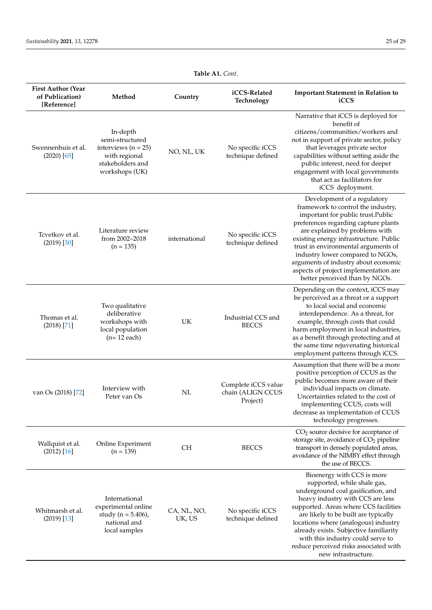| <b>First Author (Year</b><br>of Publication)<br>[Reference] | Method                                                                                                        | Country               | iCCS-Related<br>Technology                           | <b>Important Statement in Relation to</b><br>iCCS                                                                                                                                                                                                                                                                                                                                                                        |
|-------------------------------------------------------------|---------------------------------------------------------------------------------------------------------------|-----------------------|------------------------------------------------------|--------------------------------------------------------------------------------------------------------------------------------------------------------------------------------------------------------------------------------------------------------------------------------------------------------------------------------------------------------------------------------------------------------------------------|
| Swennenhuis et al.<br>$(2020)$ [65]                         | In-depth<br>semi-structured<br>interviews ( $n = 25$ )<br>with regional<br>stakeholders and<br>workshops (UK) | NO, NL, UK            | No specific iCCS<br>technique defined                | Narrative that iCCS is deployed for<br>benefit of<br>citizens/communities/workers and<br>not in support of private sector, policy<br>that leverages private sector<br>capabilities without setting aside the<br>public interest, need for deeper<br>engagement with local governments<br>that act as facilitators for<br>iCCS deployment.                                                                                |
| Tcvetkov et al.<br>$(2019)$ $[30]$                          | Literature review<br>from 2002-2018<br>$(n = 135)$                                                            | international         | No specific iCCS<br>technique defined                | Development of a regulatory<br>framework to control the industry,<br>important for public trust.Public<br>preferences regarding capture plants<br>are explained by problems with<br>existing energy infrastructure. Public<br>trust in environmental arguments of<br>industry lower compared to NGOs,<br>arguments of industry about economic<br>aspects of project implementation are<br>better perceived than by NGOs. |
| Thomas et al.<br>$(2018)$ <sup>[71]</sup>                   | Two qualitative<br>deliberative<br>workshops with<br>local population<br>$(n=12$ each)                        | UK                    | Industrial CCS and<br><b>BECCS</b>                   | Depending on the context, iCCS may<br>be perceived as a threat or a support<br>to local social and economic<br>interdependence. As a threat, for<br>example, through costs that could<br>harm employment in local industries,<br>as a benefit through protecting and at<br>the same time rejuvenating historical<br>employment patterns through iCCS.                                                                    |
| van Os (2018) [72]                                          | Interview with<br>Peter van Os                                                                                | NL                    | Complete iCCS value<br>chain (ALIGN CCUS<br>Project) | Assumption that there will be a more<br>positive perception of CCUS as the<br>public becomes more aware of their<br>individual impacts on climate.<br>Uncertainties related to the cost of<br>implementing CCUS, costs will<br>decrease as implementation of CCUS<br>technology progresses.                                                                                                                              |
| Wallquist et al.<br>(2012) [16]                             | Online Experiment<br>$(n = 139)$                                                                              | CН                    | <b>BECCS</b>                                         | $CO2$ source decisive for acceptance of<br>storage site, avoidance of CO <sub>2</sub> pipeline<br>transport in densely populated areas,<br>avoidance of the NIMBY effect through<br>the use of BECCS.                                                                                                                                                                                                                    |
| Whitmarsh et al.<br>$(2019)$ [13]                           | International<br>experimental online<br>study ( $n = 5.406$ ),<br>national and<br>local samples               | CA, NL, NO,<br>UK, US | No specific iCCS<br>technique defined                | Bioenergy with CCS is more<br>supported, while shale gas,<br>underground coal gasification, and<br>heavy industry with CCS are less<br>supported. Areas where CCS facilities<br>are likely to be built are typically<br>locations where (analogous) industry<br>already exists. Subjective familiarity<br>with this industry could serve to<br>reduce perceived risks associated with<br>new infrastructure.             |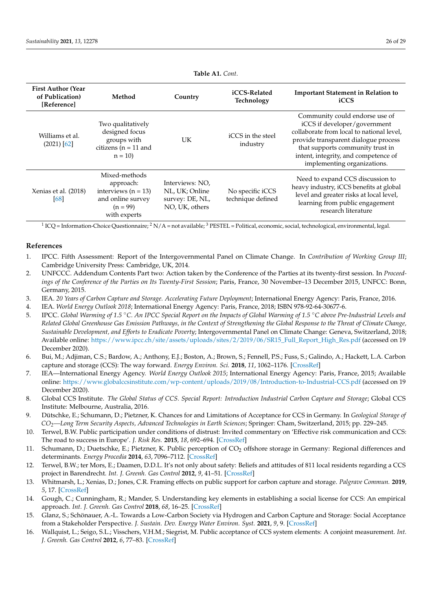<span id="page-25-16"></span>

| <b>First Author (Year</b><br>of Publication)<br>[Reference] | Method                                                                                                   | Country                                                                | iCCS-Related<br><b>Technology</b>     | <b>Important Statement in Relation to</b><br>iCCS                                                                                                                                                                                                              |
|-------------------------------------------------------------|----------------------------------------------------------------------------------------------------------|------------------------------------------------------------------------|---------------------------------------|----------------------------------------------------------------------------------------------------------------------------------------------------------------------------------------------------------------------------------------------------------------|
| Williams et al.<br>$(2021)$ [62]                            | Two qualitatively<br>designed focus<br>groups with<br>citizens ( $n = 11$ and<br>$n = 10$                | UK                                                                     | iCCS in the steel<br>industry         | Community could endorse use of<br>iCCS if developer/government<br>collaborate from local to national level,<br>provide transparent dialogue process<br>that supports community trust in<br>intent, integrity, and competence of<br>implementing organizations. |
| Xenias et al. (2018)<br>[68]                                | Mixed-methods<br>approach:<br>interviews ( $n = 13$ )<br>and online survey<br>$(n = 99)$<br>with experts | Interviews: NO.<br>NL, UK; Online<br>survey: DE, NL,<br>NO, UK, others | No specific iCCS<br>technique defined | Need to expand CCS discussion to<br>heavy industry, iCCS benefits at global<br>level and greater risks at local level,<br>learning from public engagement<br>research literature                                                                               |

<sup>1</sup> ICQ = Information-Choice Questionnaire; <sup>2</sup> N/A = not available; <sup>3</sup> PESTEL = Political, economic, social, technological, environmental, legal.

# **References**

- <span id="page-25-0"></span>1. IPCC. Fifth Assessment: Report of the Intergovernmental Panel on Climate Change. In *Contribution of Working Group III*; Cambridge University Press: Cambridge, UK, 2014.
- <span id="page-25-14"></span>2. UNFCCC. Addendum Contents Part two: Action taken by the Conference of the Parties at its twenty-first session. In *Proceedings of the Conference of the Parties on Its Twenty-First Session*; Paris, France, 30 November–13 December 2015, UNFCC: Bonn, Germany, 2015.
- <span id="page-25-15"></span>3. IEA. *20 Years of Carbon Capture and Storage. Accelerating Future Deployment*; International Energy Agency: Paris, France, 2016.
- <span id="page-25-4"></span>4. IEA. *World Energy Outlook 2018*; International Energy Agency: Paris, France, 2018; ISBN 978-92-64-30677-6.
- <span id="page-25-1"></span>5. IPCC. *Global Warming of 1.5* ◦*C. An IPCC Special Report on the Impacts of Global Warming of 1.5* ◦*C above Pre-Industrial Levels and Related Global Greenhouse Gas Emission Pathways, in the Context of Strengthening the Global Response to the Threat of Climate Change, Sustainable Development, and Efforts to Eradicate Poverty*; Intergovernmental Panel on Climate Change: Geneva, Switzerland, 2018; Available online: [https://www.ipcc.ch/site/assets/uploads/sites/2/2019/06/SR15\\_Full\\_Report\\_High\\_Res.pdf](https://www.ipcc.ch/site/assets/uploads/sites/2/2019/06/SR15_Full_Report_High_Res.pdf) (accessed on 19 December 2020).
- <span id="page-25-2"></span>6. Bui, M.; Adjiman, C.S.; Bardow, A.; Anthony, E.J.; Boston, A.; Brown, S.; Fennell, P.S.; Fuss, S.; Galindo, A.; Hackett, L.A. Carbon capture and storage (CCS): The way forward. *Energy Environ. Sci.* **2018**, *11*, 1062–1176. [\[CrossRef\]](http://doi.org/10.1039/C7EE02342A)
- <span id="page-25-3"></span>7. IEA—International Energy Agency. *World Energy Outlook 2015*; International Energy Agency: Paris, France, 2015; Available online: <https://www.globalccsinstitute.com/wp-content/uploads/2019/08/Introduction-to-Industrial-CCS.pdf> (accessed on 19 December 2020).
- <span id="page-25-5"></span>8. Global CCS Institute. *The Global Status of CCS. Special Report: Introduction Industrial Carbon Capture and Storage*; Global CCS Institute: Melbourne, Australia, 2016.
- <span id="page-25-6"></span>9. Dütschke, E.; Schumann, D.; Pietzner, K. Chances for and Limitations of Acceptance for CCS in Germany. In *Geological Storage of CO2—Long Term Security Aspects, Advanced Technologies in Earth Sciences*; Springer: Cham, Switzerland, 2015; pp. 229–245.
- <span id="page-25-7"></span>10. Terwel, B.W. Public participation under conditions of distrust: Invited commentary on 'Effective risk communication and CCS: The road to success in Europe'. *J. Risk Res.* **2015**, *18*, 692–694. [\[CrossRef\]](http://doi.org/10.1080/13669877.2014.983953)
- <span id="page-25-8"></span>11. Schumann, D.; Duetschke, E.; Pietzner, K. Public perception of CO<sub>2</sub> offshore storage in Germany: Regional differences and determinants. *Energy Procedia* **2014**, *63*, 7096–7112. [\[CrossRef\]](http://doi.org/10.1016/j.egypro.2014.11.744)
- <span id="page-25-9"></span>12. Terwel, B.W.; ter Mors, E.; Daamen, D.D.L. It's not only about safety: Beliefs and attitudes of 811 local residents regarding a CCS project in Barendrecht. *Int. J. Greenh. Gas Control* **2012**, *9*, 41–51. [\[CrossRef\]](http://doi.org/10.1016/j.ijggc.2012.02.017)
- <span id="page-25-10"></span>13. Whitmarsh, L.; Xenias, D.; Jones, C.R. Framing effects on public support for carbon capture and storage. *Palgrave Commun.* **2019**, *5*, 17. [\[CrossRef\]](http://doi.org/10.1057/s41599-019-0217-x)
- <span id="page-25-11"></span>14. Gough, C.; Cunningham, R.; Mander, S. Understanding key elements in establishing a social license for CCS: An empirical approach. *Int. J. Greenh. Gas Control* **2018**, *68*, 16–25. [\[CrossRef\]](http://doi.org/10.1016/j.ijggc.2017.11.003)
- <span id="page-25-12"></span>15. Glanz, S.; Schönauer, A.-L. Towards a Low-Carbon Society via Hydrogen and Carbon Capture and Storage: Social Acceptance from a Stakeholder Perspective. *J. Sustain. Dev. Energy Water Environ. Syst.* **2021**, *9*, 9. [\[CrossRef\]](http://doi.org/10.13044/j.sdewes.d8.0322)
- <span id="page-25-13"></span>16. Wallquist, L.; Seigo, S.L.; Visschers, V.H.M.; Siegrist, M. Public acceptance of CCS system elements: A conjoint measurement. *Int. J. Greenh. Gas Control* **2012**, *6*, 77–83. [\[CrossRef\]](http://doi.org/10.1016/j.ijggc.2011.11.008)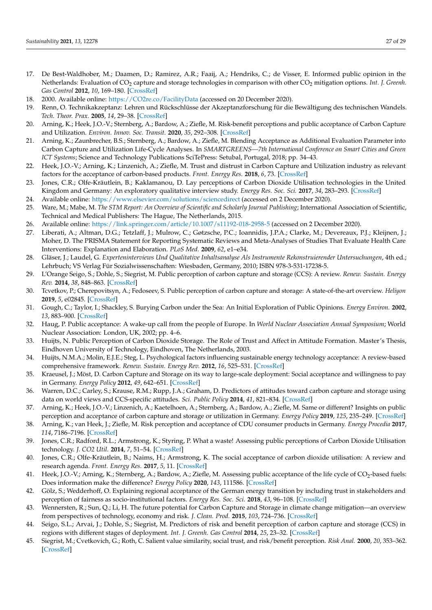- <span id="page-26-0"></span>17. De Best-Waldhober, M.; Daamen, D.; Ramirez, A.R.; Faaij, A.; Hendriks, C.; de Visser, E. Informed public opinion in the Netherlands: Evaluation of CO<sub>2</sub> capture and storage technologies in comparison with other CO<sub>2</sub> mitigation options. *Int. J. Greenh. Gas Control* **2012**, *10*, 169–180. [\[CrossRef\]](http://doi.org/10.1016/j.ijggc.2012.05.023)
- <span id="page-26-1"></span>18. 2000. Available online: <https://CO2re.co/FacilityData> (accessed on 20 December 2020).
- <span id="page-26-2"></span>19. Renn, O. Technikakzeptanz: Lehren und Rückschlüsse der Akzeptanzforschung für die Bewältigung des technischen Wandels. *Tech. Theor. Prax.* **2005**, *14*, 29–38. [\[CrossRef\]](http://doi.org/10.14512/tatup.14.3.29)
- <span id="page-26-3"></span>20. Arning, K.; Heek, J.O.-V.; Sternberg, A.; Bardow, A.; Ziefle, M. Risk-benefit perceptions and public acceptance of Carbon Capture and Utilization. *Environ. Innov. Soc. Transit.* **2020**, *35*, 292–308. [\[CrossRef\]](http://doi.org/10.1016/j.eist.2019.05.003)
- 21. Arning, K.; Zaunbrecher, B.S.; Sternberg, A.; Bardow, A.; Ziefle, M. Blending Acceptance as Additional Evaluation Parameter into Carbon Capture and Utilization Life-Cycle Analyses. In *SMARTGREENS—7th International Conference on Smart Cities and Green ICT Systems*; Science and Technology Publications SciTePress: Setubal, Portugal, 2018; pp. 34–43.
- <span id="page-26-4"></span>22. Heek, J.O.-V.; Arning, K.; Linzenich, A.; Ziefle, M. Trust and distrust in Carbon Capture and Utilization industry as relevant factors for the acceptance of carbon-based products. *Front. Energy Res.* **2018**, *6*, 73. [\[CrossRef\]](http://doi.org/10.3389/fenrg.2018.00073)
- <span id="page-26-5"></span>23. Jones, C.R.; Olfe-Kräutlein, B.; Kaklamanou, D. Lay perceptions of Carbon Dioxide Utilisation technologies in the United Kingdom and Germany: An exploratory qualitative interview study. *Energy Res. Soc. Sci.* **2017**, *34*, 283–293. [\[CrossRef\]](http://doi.org/10.1016/j.erss.2017.09.011)
- <span id="page-26-6"></span>24. Available online: <https://www.elsevier.com/solutions/sciencedirect> (accessed on 2 December 2020).
- <span id="page-26-7"></span>25. Ware, M.; Mabe, M. The STM Report: An Overview of Scientific and Scholarly Journal Publishing; International Association of Scientific, Technical and Medical Publishers: The Hague, The Netherlands, 2015.
- <span id="page-26-8"></span>26. Available online: <https://link.springer.com/article/10.1007/s11192-018-2958-5> (accessed on 2 December 2020).
- <span id="page-26-9"></span>27. Liberati, A.; Altman, D.G.; Tetzlaff, J.; Mulrow, C.; Gøtzsche, P.C.; Ioannidis, J.P.A.; Clarke, M.; Devereaux, P.J.; Kleijnen, J.; Moher, D. The PRISMA Statement for Reporting Systematic Reviews and Meta-Analyses of Studies That Evaluate Health Care Interventions: Explanation and Elaboration. *PLoS Med.* **2009**, *62*, e1–e34.
- <span id="page-26-10"></span>28. Gläser, J.; Laudel, G. *Experteninterviews Und Qualitative Inhaltsanalyse Als Instrumente Rekonstruierender Untersuchungen*, 4th ed.; Lehrbuch; VS Verlag Für Sozialwissenschaften: Wiesbaden, Germany, 2010; ISBN 978-3-531-17238-5.
- <span id="page-26-11"></span>29. L'Orange Seigo, S.; Dohle, S.; Siegrist, M. Public perception of carbon capture and storage (CCS): A review. *Renew. Sustain. Energy Rev.* **2014**, *38*, 848–863. [\[CrossRef\]](http://doi.org/10.1016/j.rser.2014.07.017)
- <span id="page-26-12"></span>30. Tcvetkov, P.; Cherepovitsyn, A.; Fedoseev, S. Public perception of carbon capture and storage: A state-of-the-art overview. *Heliyon* **2019**, *5*, e02845. [\[CrossRef\]](http://doi.org/10.1016/j.heliyon.2019.e02845)
- <span id="page-26-13"></span>31. Gough, C.; Taylor, I.; Shackley, S. Burying Carbon under the Sea: An Initial Exploration of Public Opinions. *Energy Environ.* **2002**, *13*, 883–900. [\[CrossRef\]](http://doi.org/10.1260/095830502762231331)
- 32. Haug, P. Public acceptance: A wake-up call from the people of Europe. In *World Nuclear Association Annual Symposium*; World Nuclear Association: London, UK, 2002; pp. 4–6.
- <span id="page-26-14"></span>33. Huijts, N. Public Perception of Carbon Dioxide Storage. The Role of Trust and Affect in Attitude Formation. Master's Thesis, Eindhoven University of Technology, Eindhoven, The Netherlands, 2003.
- <span id="page-26-15"></span>34. Huijts, N.M.A.; Molin, E.J.E.; Steg, L. Psychological factors influencing sustainable energy technology acceptance: A review-based comprehensive framework. *Renew. Sustain. Energy Rev.* **2012**, *16*, 525–531. [\[CrossRef\]](http://doi.org/10.1016/j.rser.2011.08.018)
- <span id="page-26-16"></span>35. Kraeusel, J.; Möst, D. Carbon Capture and Storage on its way to large-scale deployment: Social acceptance and willingness to pay in Germany. *Energy Policy* **2012**, *49*, 642–651. [\[CrossRef\]](http://doi.org/10.1016/j.enpol.2012.07.006)
- <span id="page-26-17"></span>36. Warren, D.C.; Carley, S.; Krause, R.M.; Rupp, J.A.; Graham, D. Predictors of attitudes toward carbon capture and storage using data on world views and CCS-specific attitudes. *Sci. Public Policy* **2014**, *41*, 821–834. [\[CrossRef\]](http://doi.org/10.1093/scipol/scu016)
- <span id="page-26-18"></span>37. Arning, K.; Heek, J.O.-V.; Linzenich, A.; Kaetelhoen, A.; Sternberg, A.; Bardow, A.; Ziefle, M. Same or different? Insights on public perception and acceptance of carbon capture and storage or utilization in Germany. *Energy Policy* **2019**, *125*, 235–249. [\[CrossRef\]](http://doi.org/10.1016/j.enpol.2018.10.039)
- 38. Arning, K.; van Heek, J.; Ziefle, M. Risk perception and acceptance of CDU consumer products in Germany. *Energy Procedia* **2017**, *114*, 7186–7196. [\[CrossRef\]](http://doi.org/10.1016/j.egypro.2017.03.1823)
- 39. Jones, C.R.; Radford, R.L.; Armstrong, K.; Styring, P. What a waste! Assessing public perceptions of Carbon Dioxide Utilisation technology. *J. CO2 Util.* **2014**, *7*, 51–54. [\[CrossRef\]](http://doi.org/10.1016/j.jcou.2014.05.001)
- 40. Jones, C.R.; Olfe-Kräutlein, B.; Naims, H.; Armstrong, K. The social acceptance of carbon dioxide utilisation: A review and research agenda. *Front. Energy Res.* **2017**, *5*, 11. [\[CrossRef\]](http://doi.org/10.3389/fenrg.2017.00011)
- <span id="page-26-19"></span>41. Heek, J.O.-V.; Arning, K.; Sternberg, A.; Bardow, A.; Ziefle, M. Assessing public acceptance of the life cycle of CO<sub>2</sub>-based fuels: Does information make the difference? *Energy Policy* **2020**, *143*, 111586. [\[CrossRef\]](http://doi.org/10.1016/j.enpol.2020.111586)
- <span id="page-26-20"></span>42. Gölz, S.; Wedderhoff, O. Explaining regional acceptance of the German energy transition by including trust in stakeholders and perception of fairness as socio-institutional factors. *Energy Res. Soc. Sci.* **2018**, *43*, 96–108. [\[CrossRef\]](http://doi.org/10.1016/j.erss.2018.05.026)
- <span id="page-26-21"></span>43. Wennersten, R.; Sun, Q.; Li, H. The future potential for Carbon Capture and Storage in climate change mitigation—an overview from perspectives of technology, economy and risk. *J. Clean. Prod.* **2015**, *103*, 724–736. [\[CrossRef\]](http://doi.org/10.1016/j.jclepro.2014.09.023)
- <span id="page-26-23"></span>44. Seigo, S.L.; Arvai, J.; Dohle, S.; Siegrist, M. Predictors of risk and benefit perception of carbon capture and storage (CCS) in regions with different stages of deployment. *Int. J. Greenh. Gas Control* **2014**, *25*, 23–32. [\[CrossRef\]](http://doi.org/10.1016/j.ijggc.2014.03.007)
- <span id="page-26-22"></span>45. Siegrist, M.; Cvetkovich, G.; Roth, C. Salient value similarity, social trust, and risk/benefit perception. *Risk Anal.* **2000**, *20*, 353–362. [\[CrossRef\]](http://doi.org/10.1111/0272-4332.203034)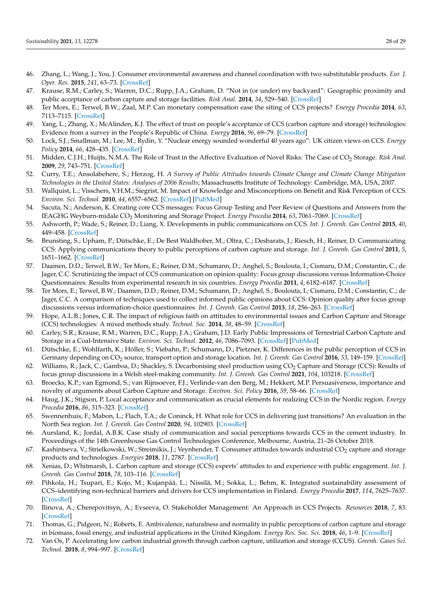- <span id="page-27-0"></span>46. Zhang, L.; Wang, J.; You, J. Consumer environmental awareness and channel coordination with two substitutable products. *Eur. J. Oper. Res.* **2015**, *241*, 63–73. [\[CrossRef\]](http://doi.org/10.1016/j.ejor.2014.07.043)
- <span id="page-27-1"></span>47. Krause, R.M.; Carley, S.; Warren, D.C.; Rupp, J.A.; Graham, D. "Not in (or under) my backyard": Geographic proximity and public acceptance of carbon capture and storage facilities. *Risk Anal.* **2014**, *34*, 529–540. [\[CrossRef\]](http://doi.org/10.1111/risa.12119)
- <span id="page-27-2"></span>48. Ter Mors, E.; Terwel, B.W.; Zaal, M.P. Can monetary compensation ease the siting of CCS projects? *Energy Procedia* **2014**, *63*, 7113–7115. [\[CrossRef\]](http://doi.org/10.1016/j.egypro.2014.11.745)
- <span id="page-27-3"></span>49. Yang, L.; Zhang, X.; McAlinden, K.J. The effect of trust on people's acceptance of CCS (carbon capture and storage) technologies: Evidence from a survey in the People's Republic of China. *Energy* **2016**, *96*, 69–79. [\[CrossRef\]](http://doi.org/10.1016/j.energy.2015.12.044)
- 50. Lock, S.J.; Smallman, M.; Lee, M.; Rydin, Y. "Nuclear energy sounded wonderful 40 years ago": UK citizen views on CCS. *Energy Policy* **2014**, *66*, 428–435. [\[CrossRef\]](http://doi.org/10.1016/j.enpol.2013.11.024)
- <span id="page-27-4"></span>51. Midden, C.J.H.; Huijts, N.M.A. The Role of Trust in the Affective Evaluation of Novel Risks: The Case of CO<sub>2</sub> Storage. *Risk Anal.* **2009**, *29*, 743–751. [\[CrossRef\]](http://doi.org/10.1111/j.1539-6924.2009.01201.x)
- <span id="page-27-5"></span>52. Curry, T.E.; Ansolabehere, S.; Herzog, H. *A Survey of Public Attitudes towards Climate Change and Climate Change Mitigation Technologies in the United States: Analyses of 2006 Results*; Massachusetts Institute of Technology: Cambridge, MA, USA, 2007.
- <span id="page-27-6"></span>53. Wallquist, L.; Visschers, V.H.M.; Siegrist, M. Impact of Knowledge and Misconceptions on Benefit and Risk Perception of CCS. *Environ. Sci. Technol.* **2010**, *44*, 6557–6562. [\[CrossRef\]](http://doi.org/10.1021/es1005412) [\[PubMed\]](http://www.ncbi.nlm.nih.gov/pubmed/20681511)
- <span id="page-27-7"></span>54. Sacuta, N.; Anderson, K. Creating core CCS messages: Focus Group Testing and Peer Review of Questions and Answers from the IEAGHG Weyburn-midale CO<sup>2</sup> Monitoring and Storage Project. *Energy Procedia* **2014**, *63*, 7061–7069. [\[CrossRef\]](http://doi.org/10.1016/j.egypro.2014.11.741)
- 55. Ashworth, P.; Wade, S.; Reiner, D.; Liang, X. Developments in public communications on CCS. *Int. J. Greenh. Gas Control* **2015**, *40*, 449–458. [\[CrossRef\]](http://doi.org/10.1016/j.ijggc.2015.06.002)
- 56. Brunsting, S.; Upham, P.; Dütschke, E.; De Best Waldhober, M.; Oltra, C.; Desbarats, J.; Riesch, H.; Reiner, D. Communicating CCS: Applying communications theory to public perceptions of carbon capture and storage. *Int. J. Greenh. Gas Control* **2011**, *5*, 1651–1662. [\[CrossRef\]](http://doi.org/10.1016/j.ijggc.2011.09.012)
- 57. Daamen, D.D.; Terwel, B.W.; Ter Mors, E.; Reiner, D.M.; Schumann, D.; Anghel, S.; Boulouta, I.; Cismaru, D.M.; Constantin, C.; de Jager, C.C. Scrutinizing the impact of CCS communication on opinion quality: Focus group discussions versus Information-Choice Questionnaires: Results from experimental research in six countries. *Energy Procedia* **2011**, *4*, 6182–6187. [\[CrossRef\]](http://doi.org/10.1016/j.egypro.2011.02.629)
- <span id="page-27-8"></span>58. Ter Mors, E.; Terwel, B.W.; Daamen, D.D.; Reiner, D.M.; Schumann, D.; Anghel, S.; Boulouta, I.; Cismaru, D.M.; Constantin, C.; de Jager, C.C. A comparison of techniques used to collect informed public opinions about CCS: Opinion quality after focus group discussions versus information-choice questionnaires. *Int. J. Greenh. Gas Control* **2013**, *18*, 256–263. [\[CrossRef\]](http://doi.org/10.1016/j.ijggc.2013.07.015)
- <span id="page-27-9"></span>59. Hope, A.L.B.; Jones, C.R. The impact of religious faith on attitudes to environmental issues and Carbon Capture and Storage (CCS) technologies: A mixed methods study. *Technol. Soc.* **2014**, *38*, 48–59. [\[CrossRef\]](http://doi.org/10.1016/j.techsoc.2014.02.003)
- <span id="page-27-10"></span>60. Carley, S.R.; Krause, R.M.; Warren, D.C.; Rupp, J.A.; Graham, J.D. Early Public Impressions of Terrestrial Carbon Capture and Storage in a Coal-Intensive State. *Environ. Sci. Technol.* **2012**, *46*, 7086–7093. [\[CrossRef\]](http://doi.org/10.1021/es300698n) [\[PubMed\]](http://www.ncbi.nlm.nih.gov/pubmed/22681614)
- <span id="page-27-11"></span>61. Dütschke, E.; Wohlfarth, K.; Höller, S.; Viebahn, P.; Schumann, D.; Pietzner, K. Differences in the public perception of CCS in Germany depending on CO<sub>2</sub> source, transport option and storage location. *Int. J. Greenh. Gas Control* 2016, 53, 149–159. [\[CrossRef\]](http://doi.org/10.1016/j.ijggc.2016.07.043)
- <span id="page-27-22"></span>62. Williams, R.; Jack, C.; Gamboa, D.; Shackley, S. Decarbonising steel production using CO<sub>2</sub> Capture and Storage (CCS): Results of focus group discussions in a Welsh steel-making community. *Int. J. Greenh. Gas Control* **2021**, *104*, 103218. [\[CrossRef\]](http://doi.org/10.1016/j.ijggc.2020.103218)
- <span id="page-27-12"></span>63. Broecks, K.P.; van Egmond, S.; van Rijnsoever, F.J.; Verlinde-van den Berg, M.; Hekkert, M.P. Persuasiveness, importance and novelty of arguments about Carbon Capture and Storage. *Environ. Sci. Policy* **2016**, *59*, 58–66. [\[CrossRef\]](http://doi.org/10.1016/j.envsci.2016.02.004)
- <span id="page-27-13"></span>64. Haug, J.K.; Stigson, P. Local acceptance and communication as crucial elements for realizing CCS in the Nordic region. *Energy Procedia* **2016**, *86*, 315–323. [\[CrossRef\]](http://doi.org/10.1016/j.egypro.2016.01.032)
- <span id="page-27-14"></span>65. Swennenhuis, F.; Mabon, L.; Flach, T.A.; de Coninck, H. What role for CCS in delivering just transitions? An evaluation in the North Sea region. *Int. J. Greenh. Gas Control* **2020**, *94*, 102903. [\[CrossRef\]](http://doi.org/10.1016/j.ijggc.2019.102903)
- <span id="page-27-21"></span>66. Aursland, K.; Jordal, A.B.K. Case study of communication and social perceptions towards CCS in the cement industry. In Proceedings of the 14th Greenhouse Gas Control Technologies Conference, Melbourne, Austria, 21–26 October 2018.
- <span id="page-27-15"></span>67. Kashintseva, V.; Strielkowski, W.; Streimikis, J.; Veynbender, T. Consumer attitudes towards industrial CO<sub>2</sub> capture and storage products and technologies. *Energies* **2018**, *11*, 2787. [\[CrossRef\]](http://doi.org/10.3390/en11102787)
- <span id="page-27-17"></span>68. Xenias, D.; Whitmarsh, L. Carbon capture and storage (CCS) experts' attitudes to and experience with public engagement. *Int. J. Greenh. Gas Control* **2018**, *78*, 103–116. [\[CrossRef\]](http://doi.org/10.1016/j.ijggc.2018.07.030)
- <span id="page-27-16"></span>69. Pihkola, H.; Tsupari, E.; Kojo, M.; Kujanpää, L.; Nissilä, M.; Sokka, L.; Behm, K. Integrated sustainability assessment of CCS–identifying non-technical barriers and drivers for CCS implementation in Finland. *Energy Procedia* **2017**, *114*, 7625–7637. [\[CrossRef\]](http://doi.org/10.1016/j.egypro.2017.03.1895)
- <span id="page-27-18"></span>70. Ilinova, A.; Cherepovitsyn, A.; Evseeva, O. Stakeholder Management: An Approach in CCS Projects. *Resources* **2018**, *7*, 83. [\[CrossRef\]](http://doi.org/10.3390/resources7040083)
- <span id="page-27-19"></span>71. Thomas, G.; Pidgeon, N.; Roberts, E. Ambivalence, naturalness and normality in public perceptions of carbon capture and storage in biomass, fossil energy, and industrial applications in the United Kingdom. *Energy Res. Soc. Sci.* **2018**, *46*, 1–9. [\[CrossRef\]](http://doi.org/10.1016/j.erss.2018.06.007)
- <span id="page-27-20"></span>72. Van Os, P. Accelerating low carbon industrial growth through carbon capture, utilization and storage (CCUS). *Greenh. Gases Sci. Technol.* **2018**, *8*, 994–997. [\[CrossRef\]](http://doi.org/10.1002/ghg.1828)